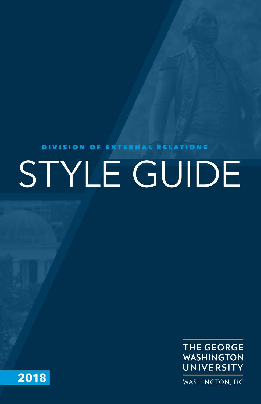# DIVISION OF EXTERNAL RELATIONS STYLE GUIDE



**2018**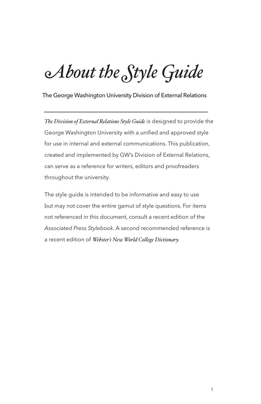# *About the Style Guide*

The George Washington University Division of External Relations

*The Division of External Relations Style Guide* is designed to provide the George Washington University with a unified and approved style for use in internal and external communications. This publication, created and implemented by GW's Division of External Relations, can serve as a reference for writers, editors and proofreaders throughout the university.

The style guide is intended to be informative and easy to use but may not cover the entire gamut of style questions. For items not referenced in this document, consult a recent edition of the *Associated Press Stylebook*. A second recommended reference is a recent edition of *Webster's New World College Dictionary.*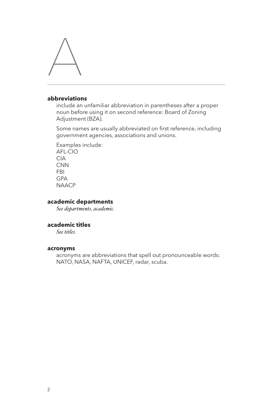

# **abbreviations**

include an unfamiliar abbreviation in parentheses after a proper noun before using it on second reference: Board of Zoning Adjustment (BZA).

Some names are usually abbreviated on first reference, including government agencies, associations and unions.

Examples include: AFL-CIO CIA **CNN** FBI GPA **NAACP** 

# **academic departments**

*See departments, academic.*

# **academic titles**

*See titles.*

#### **acronyms**

acronyms are abbreviations that spell out pronounceable words: NATO, NASA, NAFTA, UNICEF, radar, scuba.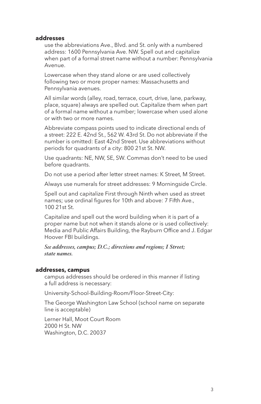#### **addresses**

use the abbreviations Ave., Blvd. and St. only with a numbered address: 1600 Pennsylvania Ave. NW. Spell out and capitalize when part of a formal street name without a number: Pennsylvania Avenue.

Lowercase when they stand alone or are used collectively following two or more proper names: Massachusetts and Pennsylvania avenues.

All similar words (alley, road, terrace, court, drive, lane, parkway, place, square) always are spelled out. Capitalize them when part of a formal name without a number; lowercase when used alone or with two or more names.

Abbreviate compass points used to indicate directional ends of a street: 222 E. 42nd St., 562 W. 43rd St. Do not abbreviate if the number is omitted: East 42nd Street. Use abbreviations without periods for quadrants of a city: 800 21st St. NW.

Use quadrants: NE, NW, SE, SW. Commas don't need to be used before quadrants.

Do not use a period after letter street names: K Street, M Street.

Always use numerals for street addresses: 9 Morningside Circle.

Spell out and capitalize First through Ninth when used as street names; use ordinal figures for 10th and above: 7 Fifth Ave., 100 21st St.

Capitalize and spell out the word building when it is part of a proper name but not when it stands alone or is used collectively: Media and Public Affairs Building, the Rayburn Office and J. Edgar Hoover FBI buildings.

*See addresses, campus; D.C.; directions and regions; I Street; state names.*

#### **addresses, campus**

campus addresses should be ordered in this manner if listing a full address is necessary:

University-School-Building-Room/Floor-Street-City:

The George Washington Law School (school name on separate line is acceptable)

Lerner Hall, Moot Court Room 2000 H St. NW Washington, D.C. 20037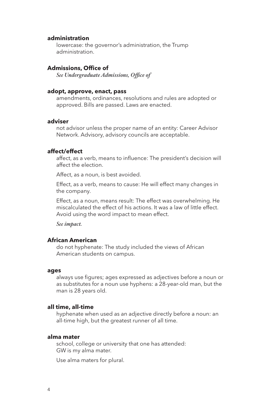# **administration**

lowercase: the governor's administration, the Trump administration.

# **Admissions, Office of**

*See Undergraduate Admissions, Office of*

#### **adopt, approve, enact, pass**

amendments, ordinances, resolutions and rules are adopted or approved. Bills are passed. Laws are enacted.

#### **adviser**

not advisor unless the proper name of an entity: Career Advisor Network. Advisory, advisory councils are acceptable.

#### **affect/effect**

affect, as a verb, means to influence: The president's decision will affect the election.

Affect, as a noun, is best avoided.

Effect, as a verb, means to cause: He will effect many changes in the company.

Effect, as a noun, means result: The effect was overwhelming. He miscalculated the effect of his actions. It was a law of little effect. Avoid using the word impact to mean effect.

*See impact.*

#### **African American**

do not hyphenate: The study included the views of African American students on campus.

#### **ages**

always use figures; ages expressed as adjectives before a noun or as substitutes for a noun use hyphens: a 28-year-old man, but the man is 28 years old.

#### **all time, all-time**

hyphenate when used as an adjective directly before a noun: an all-time high, but the greatest runner of all time.

#### **alma mater**

school, college or university that one has attended: GW is my alma mater.

Use alma maters for plural.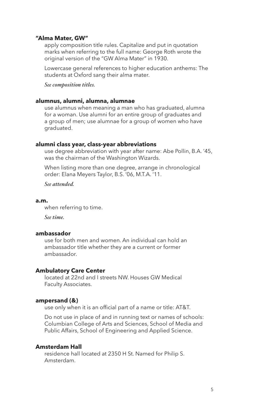#### **"Alma Mater, GW"**

apply composition title rules. Capitalize and put in quotation marks when referring to the full name: George Roth wrote the original version of the "GW Alma Mater" in 1930.

Lowercase general references to higher education anthems: The students at Oxford sang their alma mater.

*See composition titles.*

#### **alumnus, alumni, alumna, alumnae**

use alumnus when meaning a man who has graduated, alumna for a woman. Use alumni for an entire group of graduates and a group of men; use alumnae for a group of women who have graduated.

# **alumni class year, class-year abbreviations**

use degree abbreviation with year after name: Abe Pollin, B.A. '45, was the chairman of the Washington Wizards.

When listing more than one degree, arrange in chronological order: Elana Meyers Taylor, B.S. '06, M.T.A. '11.

*See attended.*

#### **a.m.**

when referring to time.

*See time.*

#### **ambassador**

use for both men and women. An individual can hold an ambassador title whether they are a current or former ambassador.

#### **Ambulatory Care Center**

located at 22nd and I streets NW. Houses GW Medical Faculty Associates.

# **ampersand (&)**

use only when it is an official part of a name or title: AT&T.

Do not use in place of and in running text or names of schools: Columbian College of Arts and Sciences, School of Media and Public Affairs, School of Engineering and Applied Science.

# **Amsterdam Hall**

residence hall located at 2350 H St. Named for Philip S. Amsterdam.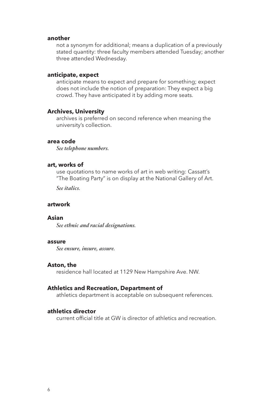#### **another**

not a synonym for additional; means a duplication of a previously stated quantity: three faculty members attended Tuesday; another three attended Wednesday.

#### **anticipate, expect**

anticipate means to expect and prepare for something; expect does not include the notion of preparation: They expect a big crowd. They have anticipated it by adding more seats.

#### **Archives, University**

archives is preferred on second reference when meaning the university's collection.

#### **area code**

*See telephone numbers.*

# **art, works of**

use quotations to name works of art in web writing: Cassatt's "The Boating Party" is on display at the National Gallery of Art.

*See italics.*

#### **artwork**

#### **Asian**

*See ethnic and racial designations.*

#### **assure**

*See ensure, insure, assure.*

#### **Aston, the**

residence hall located at 1129 New Hampshire Ave. NW.

#### **Athletics and Recreation, Department of**

athletics department is acceptable on subsequent references.

#### **athletics director**

current official title at GW is director of athletics and recreation.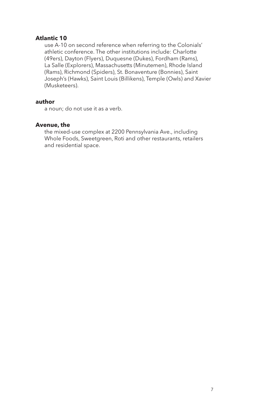# **Atlantic 10**

use A-10 on second reference when referring to the Colonials' athletic conference. The other institutions include: Charlotte (49ers), Dayton (Flyers), Duquesne (Dukes), Fordham (Rams), La Salle (Explorers), Massachusetts (Minutemen), Rhode Island (Rams), Richmond (Spiders), St. Bonaventure (Bonnies), Saint Joseph's (Hawks), Saint Louis (Billikens), Temple (Owls) and Xavier (Musketeers).

# **author**

a noun; do not use it as a verb.

# **Avenue, the**

the mixed-use complex at 2200 Pennsylvania Ave., including Whole Foods, Sweetgreen, Roti and other restaurants, retailers and residential space.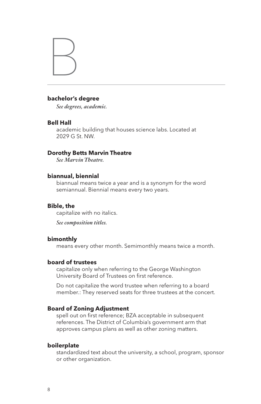

# **bachelor's degree**

*See degrees, academic.*

#### **Bell Hall**

academic building that houses science labs. Located at 2029 G St. NW.

# **Dorothy Betts Marvin Theatre**

*See Marvin Theatre.*

#### **biannual, biennial**

biannual means twice a year and is a synonym for the word semiannual. Biennial means every two years.

#### **Bible, the**

capitalize with no italics.

*See composition titles.*

#### **bimonthly**

means every other month. Semimonthly means twice a month.

# **board of trustees**

capitalize only when referring to the George Washington University Board of Trustees on first reference.

Do not capitalize the word trustee when referring to a board member.: They reserved seats for three trustees at the concert.

# **Board of Zoning Adjustment**

spell out on first reference; BZA acceptable in subsequent references. The District of Columbia's government arm that approves campus plans as well as other zoning matters.

# **boilerplate**

standardized text about the university, a school, program, sponsor or other organization.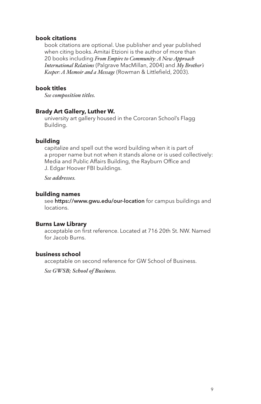# **book citations**

book citations are optional. Use publisher and year published when citing books. Amitai Etzioni is the author of more than 20 books including *From Empire to Community: A New Approach International Relations* (Palgrave MacMillan, 2004) and *My Brother's Keeper: A Memoir and a Message* (Rowman & Littlefield, 2003).

# **book titles**

*See composition titles.*

# **Brady Art Gallery, Luther W.**

university art gallery housed in the Corcoran School's Flagg Building.

# **building**

capitalize and spell out the word building when it is part of a proper name but not when it stands alone or is used collectively: Media and Public Affairs Building, the Rayburn Office and J. Edgar Hoover FBI buildings.

*See addresses.*

#### **building names**

see https://www.gwu.edu/our-location for campus buildings and locations.

# **Burns Law Library**

acceptable on first reference. Located at 716 20th St. NW. Named for Jacob Burns.

# **business school**

acceptable on second reference for GW School of Business.

*See GWSB; School of Business.*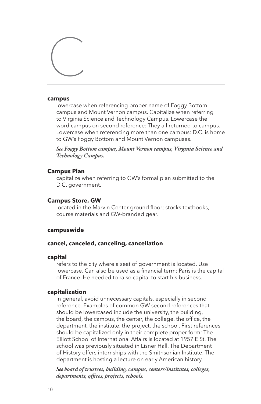# $\bigcup$

#### **campus**

lowercase when referencing proper name of Foggy Bottom campus and Mount Vernon campus. Capitalize when referring to Virginia Science and Technology Campus. Lowercase the word campus on second reference: They all returned to campus. Lowercase when referencing more than one campus: D.C. is home to GW's Foggy Bottom and Mount Vernon campuses.

*See Foggy Bottom campus, Mount Vernon campus, Virginia Science and Technology Campus.*

# **Campus Plan**

capitalize when referring to GW's formal plan submitted to the D.C. government.

# **Campus Store, GW**

located in the Marvin Center ground floor; stocks textbooks, course materials and GW-branded gear.

# **campuswide**

# **cancel, canceled, canceling, cancellation**

#### **capital**

refers to the city where a seat of government is located. Use lowercase. Can also be used as a financial term: Paris is the capital of France. He needed to raise capital to start his business.

# **capitalization**

in general, avoid unnecessary capitals, especially in second reference. Examples of common GW second references that should be lowercased include the university, the building, the board, the campus, the center, the college, the office, the department, the institute, the project, the school. First references should be capitalized only in their complete proper form: The Elliott School of International Affairs is located at 1957 E St. The school was previously situated in Lisner Hall. The Department of History offers internships with the Smithsonian Institute. The department is hosting a lecture on early American history.

*See board of trustees; building, campus, centers/institutes, colleges, departments, offices, projects, schools.*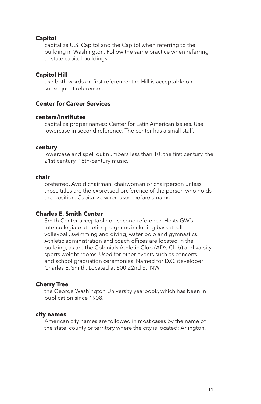# **Capitol**

capitalize U.S. Capitol and the Capitol when referring to the building in Washington. Follow the same practice when referring to state capitol buildings.

# **Capitol Hill**

use both words on first reference; the Hill is acceptable on subsequent references.

# **Center for Career Services**

# **centers/institutes**

capitalize proper names: Center for Latin American Issues. Use lowercase in second reference. The center has a small staff.

#### **century**

lowercase and spell out numbers less than 10: the first century, the 21st century, 18th-century music.

#### **chair**

preferred. Avoid chairman, chairwoman or chairperson unless those titles are the expressed preference of the person who holds the position. Capitalize when used before a name.

#### **Charles E. Smith Center**

Smith Center acceptable on second reference. Hosts GW's intercollegiate athletics programs including basketball, volleyball, swimming and diving, water polo and gymnastics. Athletic administration and coach offices are located in the building, as are the Colonials Athletic Club (AD's Club) and varsity sports weight rooms. Used for other events such as concerts and school graduation ceremonies. Named for D.C. developer Charles E. Smith. Located at 600 22nd St. NW.

#### **Cherry Tree**

the George Washington University yearbook, which has been in publication since 1908.

#### **city names**

American city names are followed in most cases by the name of the state, county or territory where the city is located: Arlington,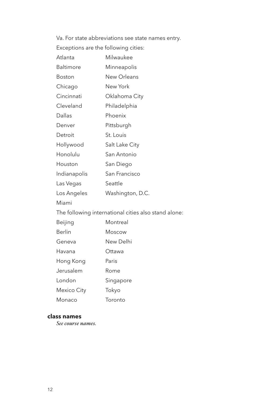Va. For state abbreviations see state names entry.

Exceptions are the following cities:

| Atlanta                                              | Milwaukee        |
|------------------------------------------------------|------------------|
| Baltimore                                            | Minneapolis      |
| Boston                                               | New Orleans      |
| Chicago                                              | New York         |
| Cincinnati                                           | Oklahoma City    |
| Cleveland                                            | Philadelphia     |
| Dallas                                               | Phoenix          |
| Denver                                               | Pittsburgh       |
| Detroit                                              | St. Louis        |
| Hollywood                                            | Salt Lake City   |
| Honolulu                                             | San Antonio      |
| Houston                                              | San Diego        |
| Indianapolis                                         | San Francisco    |
| Las Vegas                                            | Seattle          |
| Los Angeles                                          | Washington, D.C. |
| Miami                                                |                  |
| The following international cities also stand alone: |                  |
| Beijing                                              | Montreal         |
| Berlin                                               | Moscow           |
| Geneva                                               | New Delhi        |
| Havana                                               | Ottawa           |
| Hong Kong                                            | Paris            |
| Jerusalem                                            | Rome             |
| London                                               | Singapore        |
|                                                      |                  |

Mexico City Tokyo

Monaco Toronto

# **class names**

*See course names.*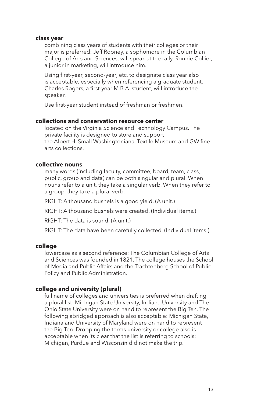#### **class year**

combining class years of students with their colleges or their major is preferred: Jeff Rooney, a sophomore in the Columbian College of Arts and Sciences, will speak at the rally. Ronnie Collier, a junior in marketing, will introduce him.

Using first-year, second-year, etc. to designate class year also is acceptable, especially when referencing a graduate student. Charles Rogers, a first-year M.B.A. student, will introduce the speaker.

Use first-year student instead of freshman or freshmen.

# **collections and conservation resource center**

located on the Virginia Science and Technology Campus. The private facility is designed to store and support the Albert H. Small Washingtoniana, Textile Museum and GW fine arts collections.

# **collective nouns**

many words (including faculty, committee, board, team, class, public, group and data) can be both singular and plural. When nouns refer to a unit, they take a singular verb. When they refer to a group, they take a plural verb.

RIGHT: A thousand bushels is a good yield. (A unit.)

RIGHT: A thousand bushels were created. (Individual items.)

RIGHT: The data is sound. (A unit.)

RIGHT: The data have been carefully collected. (Individual items.)

#### **college**

lowercase as a second reference: The Columbian College of Arts and Sciences was founded in 1821. The college houses the School of Media and Public Affairs and the Trachtenberg School of Public Policy and Public Administration.

#### **college and university (plural)**

full name of colleges and universities is preferred when drafting a plural list: Michigan State University, Indiana University and The Ohio State University were on hand to represent the Big Ten. The following abridged approach is also acceptable: Michigan State, Indiana and University of Maryland were on hand to represent the Big Ten. Dropping the terms university or college also is acceptable when its clear that the list is referring to schools: Michigan, Purdue and Wisconsin did not make the trip.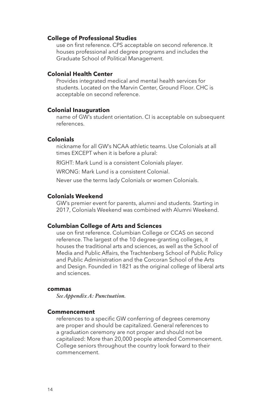#### **College of Professional Studies**

use on first reference. CPS acceptable on second reference. It houses professional and degree programs and includes the Graduate School of Political Management.

# **Colonial Health Center**

Provides integrated medical and mental health services for students. Located on the Marvin Center, Ground Floor. CHC is acceptable on second reference.

#### **Colonial Inauguration**

name of GW's student orientation. CI is acceptable on subsequent references.

#### **Colonials**

nickname for all GW's NCAA athletic teams. Use Colonials at all times EXCEPT when it is before a plural:

RIGHT: Mark Lund is a consistent Colonials player.

WRONG: Mark Lund is a consistent Colonial.

Never use the terms lady Colonials or women Colonials.

#### **Colonials Weekend**

GW's premier event for parents, alumni and students. Starting in 2017, Colonials Weekend was combined with Alumni Weekend.

# **Columbian College of Arts and Sciences**

use on first reference. Columbian College or CCAS on second reference. The largest of the 10 degree-granting colleges, it houses the traditional arts and sciences, as well as the School of Media and Public Affairs, the Trachtenberg School of Public Policy and Public Administration and the Corcoran School of the Arts and Design. Founded in 1821 as the original college of liberal arts and sciences.

#### **commas**

*See Appendix A: Punctuation.*

# **Commencement**

references to a specific GW conferring of degrees ceremony are proper and should be capitalized. General references to a graduation ceremony are not proper and should not be capitalized: More than 20,000 people attended Commencement. College seniors throughout the country look forward to their commencement.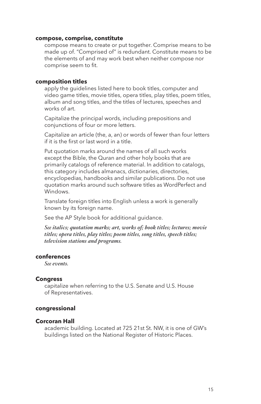#### **compose, comprise, constitute**

compose means to create or put together. Comprise means to be made up of. "Comprised of" is redundant. Constitute means to be the elements of and may work best when neither compose nor comprise seem to fit.

#### **composition titles**

apply the guidelines listed here to book titles, computer and video game titles, movie titles, opera titles, play titles, poem titles, album and song titles, and the titles of lectures, speeches and works of art.

Capitalize the principal words, including prepositions and conjunctions of four or more letters.

Capitalize an article (the, a, an) or words of fewer than four letters if it is the first or last word in a title.

Put quotation marks around the names of all such works except the Bible, the Quran and other holy books that are primarily catalogs of reference material. In addition to catalogs, this category includes almanacs, dictionaries, directories, encyclopedias, handbooks and similar publications. Do not use quotation marks around such software titles as WordPerfect and Windows.

Translate foreign titles into English unless a work is generally known by its foreign name.

See the AP Style book for additional guidance.

*See italics; quotation marks; art, works of; book titles; lectures; movie titles; opera titles, play titles; poem titles, song titles, speech titles; television stations and programs.*

# **conferences**

*See events.*

#### **Congress**

capitalize when referring to the U.S. Senate and U.S. House of Representatives.

#### **congressional**

# **Corcoran Hall**

academic building. Located at 725 21st St. NW, it is one of GW's buildings listed on the National Register of Historic Places.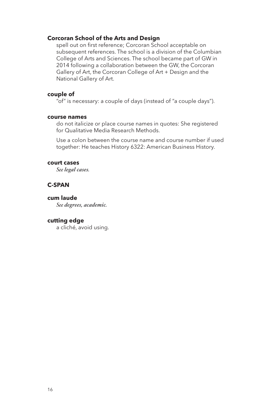#### **Corcoran School of the Arts and Design**

spell out on first reference; Corcoran School acceptable on subsequent references. The school is a division of the Columbian College of Arts and Sciences. The school became part of GW in 2014 following a collaboration between the GW, the Corcoran Gallery of Art, the Corcoran College of Art + Design and the National Gallery of Art.

# **couple of**

"of" is necessary: a couple of days (instead of "a couple days").

# **course names**

do not italicize or place course names in quotes: She registered for Qualitative Media Research Methods.

Use a colon between the course name and course number if used together: He teaches History 6322: American Business History.

#### **court cases**

*See legal cases.*

# **C-SPAN**

# **cum laude**

*See degrees, academic.*

# **cutting edge**

a cliché, avoid using.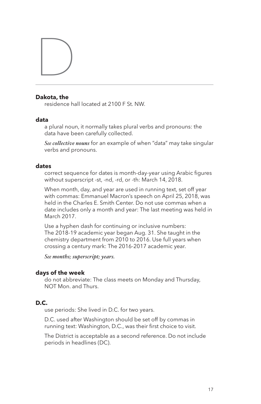# D

# **Dakota, the**

residence hall located at 2100 F St. NW.

# **data**

a plural noun, it normally takes plural verbs and pronouns: the data have been carefully collected.

*See collective nouns* for an example of when "data" may take singular verbs and pronouns.

# **dates**

correct sequence for dates is month-day-year using Arabic figures without superscript -st, -nd, -rd, or -th: March 14, 2018.

When month, day, and year are used in running text, set off year with commas: Emmanuel Macron's speech on April 25, 2018, was held in the Charles E. Smith Center. Do not use commas when a date includes only a month and year: The last meeting was held in March 2017.

Use a hyphen dash for continuing or inclusive numbers: The 2018-19 academic year began Aug. 31. She taught in the chemistry department from 2010 to 2016. Use full years when crossing a century mark: The 2016-2017 academic year.

*See months; superscript; years.*

# **days of the week**

do not abbreviate: The class meets on Monday and Thursday, NOT Mon. and Thurs.

# **D.C.**

use periods: She lived in D.C. for two years.

D.C. used after Washington should be set off by commas in running text: Washington, D.C., was their first choice to visit.

The District is acceptable as a second reference. Do not include periods in headlines (DC).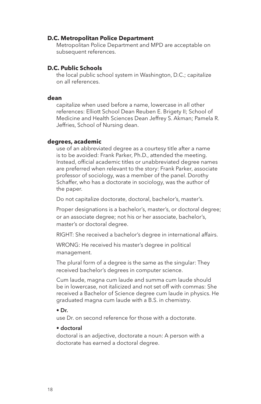# **D.C. Metropolitan Police Department**

Metropolitan Police Department and MPD are acceptable on subsequent references.

# **D.C. Public Schools**

the local public school system in Washington, D.C.; capitalize on all references.

#### **dean**

capitalize when used before a name, lowercase in all other references: Elliott School Dean Reuben E. Brigety II; School of Medicine and Health Sciences Dean Jeffrey S. Akman; Pamela R. Jeffries, School of Nursing dean.

#### **degrees, academic**

use of an abbreviated degree as a courtesy title after a name is to be avoided: Frank Parker, Ph.D., attended the meeting. Instead, official academic titles or unabbreviated degree names are preferred when relevant to the story: Frank Parker, associate professor of sociology, was a member of the panel. Dorothy Schaffer, who has a doctorate in sociology, was the author of the paper.

Do not capitalize doctorate, doctoral, bachelor's, master's.

Proper designations is a bachelor's, master's, or doctoral degree; or an associate degree; not his or her associate, bachelor's, master's or doctoral degree.

RIGHT: She received a bachelor's degree in international affairs.

WRONG: He received his master's degree in political management.

The plural form of a degree is the same as the singular: They received bachelor's degrees in computer science.

Cum laude, magna cum laude and summa cum laude should be in lowercase, not italicized and not set off with commas: She received a Bachelor of Science degree cum laude in physics. He graduated magna cum laude with a B.S. in chemistry.

#### • Dr.

use Dr. on second reference for those with a doctorate.

#### • doctoral

doctoral is an adjective, doctorate a noun: A person with a doctorate has earned a doctoral degree.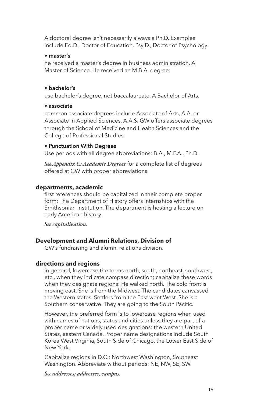A doctoral degree isn't necessarily always a Ph.D. Examples include Ed.D., Doctor of Education, Psy.D., Doctor of Psychology.

# • master's

he received a master's degree in business administration. A Master of Science. He received an M.B.A. degree.

# • bachelor's

use bachelor's degree, not baccalaureate. A Bachelor of Arts.

# • associate

common associate degrees include Associate of Arts, A.A. or Associate in Applied Sciences, A.A.S. GW offers associate degrees through the School of Medicine and Health Sciences and the College of Professional Studies.

# • Punctuation With Degrees

Use periods with all degree abbreviations: B.A., M.F.A., Ph.D.

*See Appendix C: Academic Degrees* for a complete list of degrees offered at GW with proper abbreviations.

# **departments, academic**

first references should be capitalized in their complete proper form: The Department of History offers internships with the Smithsonian Institution. The department is hosting a lecture on early American history.

*See capitalization.*

# **Development and Alumni Relations, Division of**

GW's fundraising and alumni relations division.

# **directions and regions**

in general, lowercase the terms north, south, northeast, southwest, etc., when they indicate compass direction; capitalize these words when they designate regions: He walked north. The cold front is moving east. She is from the Midwest. The candidates canvassed the Western states. Settlers from the East went West. She is a Southern conservative. They are going to the South Pacific.

However, the preferred form is to lowercase regions when used with names of nations, states and cities unless they are part of a proper name or widely used designations: the western United States, eastern Canada. Proper name designations include South Korea,West Virginia, South Side of Chicago, the Lower East Side of New York.

Capitalize regions in D.C.: Northwest Washington, Southeast Washington. Abbreviate without periods: NE, NW, SE, SW.

*See addresses; addresses, campus.*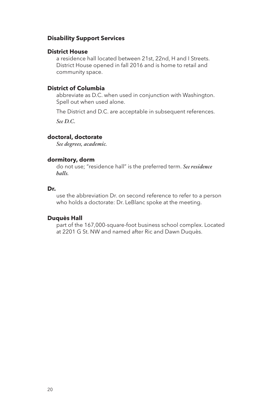# **Disability Support Services**

# **District House**

a residence hall located between 21st, 22nd, H and I Streets. District House opened in fall 2016 and is home to retail and community space.

# **District of Columbia**

abbreviate as D.C. when used in conjunction with Washington. Spell out when used alone.

The District and D.C. are acceptable in subsequent references.

*See D.C.*

# **doctoral, doctorate**

*See degrees, academic.*

# **dormitory, dorm**

do not use; "residence hall" is the preferred term. *See residence halls.*

# **Dr.**

use the abbreviation Dr. on second reference to refer to a person who holds a doctorate: Dr. LeBlanc spoke at the meeting.

#### **Duquès Hall**

part of the 167,000-square-foot business school complex. Located at 2201 G St. NW and named after Ric and Dawn Duquès.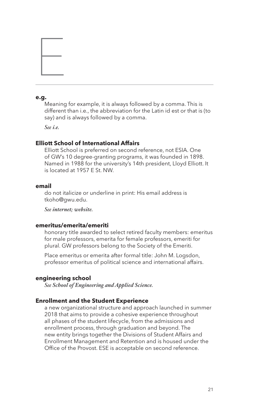# **e.g.**

Meaning for example, it is always followed by a comma. This is different than i.e., the abbreviation for the Latin id est or that is (to say) and is always followed by a comma.

*See i.e.*

E

# **Elliott School of International Affairs**

Elliott School is preferred on second reference, not ESIA. One of GW's 10 degree-granting programs, it was founded in 1898. Named in 1988 for the university's 14th president, Lloyd Elliott. It is located at 1957 E St. NW.

#### **email**

do not italicize or underline in print: His email address is tkoho@gwu.edu.

*See internet; website.*

# **emeritus/emerita/emeriti**

honorary title awarded to select retired faculty members: emeritus for male professors, emerita for female professors, emeriti for plural. GW professors belong to the Society of the Emeriti.

Place emeritus or emerita after formal title: John M. Logsdon, professor emeritus of political science and international affairs.

# **engineering school**

*See School of Engineering and Applied Science.*

#### **Enrollment and the Student Experience**

a new organizational structure and approach launched in summer 2018 that aims to provide a cohesive experience throughout all phases of the student lifecycle, from the admissions and enrollment process, through graduation and beyond. The new entity brings together the Divisions of Student Affairs and Enrollment Management and Retention and is housed under the Office of the Provost. ESE is acceptable on second reference.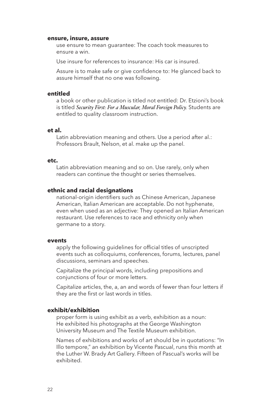#### **ensure, insure, assure**

use ensure to mean guarantee: The coach took measures to ensure a win.

Use insure for references to insurance: His car is insured.

Assure is to make safe or give confidence to: He glanced back to assure himself that no one was following.

# **entitled**

a book or other publication is titled not entitled: Dr. Etzioni's book is titled *Security First: For a Muscular, Moral Foreign Policy.* Students are entitled to quality classroom instruction.

#### **et al.**

Latin abbreviation meaning and others. Use a period after al.: Professors Brault, Nelson, et al. make up the panel.

#### **etc.**

Latin abbreviation meaning and so on. Use rarely, only when readers can continue the thought or series themselves.

#### **ethnic and racial designations**

national-origin identifiers such as Chinese American, Japanese American, Italian American are acceptable. Do not hyphenate, even when used as an adjective: They opened an Italian American restaurant. Use references to race and ethnicity only when germane to a story.

#### **events**

apply the following guidelines for official titles of unscripted events such as colloquiums, conferences, forums, lectures, panel discussions, seminars and speeches.

Capitalize the principal words, including prepositions and conjunctions of four or more letters.

Capitalize articles, the, a, an and words of fewer than four letters if they are the first or last words in titles.

#### **exhibit/exhibition**

proper form is using exhibit as a verb, exhibition as a noun: He exhibited his photographs at the George Washington University Museum and The Textile Museum exhibition.

Names of exhibitions and works of art should be in quotations: "In Illo tempore," an exhibition by Vicente Pascual, runs this month at the Luther W. Brady Art Gallery. Fifteen of Pascual's works will be exhibited.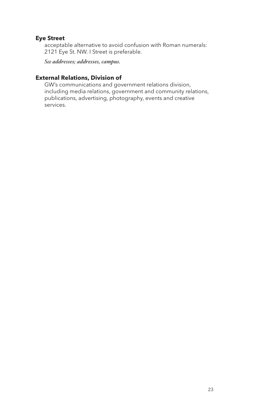# **Eye Street**

acceptable alternative to avoid confusion with Roman numerals: 2121 Eye St. NW. I Street is preferable.

*See addresses; addresses, campus.*

# **External Relations, Division of**

GW's communications and government relations division, including media relations, government and community relations, publications, advertising, photography, events and creative services.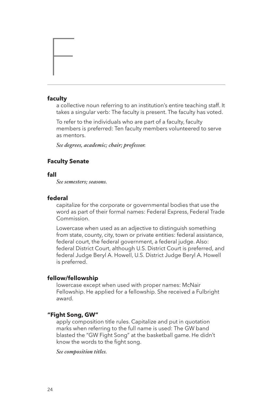#### **faculty**

F

a collective noun referring to an institution's entire teaching staff. It takes a singular verb: The faculty is present. The faculty has voted.

To refer to the individuals who are part of a faculty, faculty members is preferred: Ten faculty members volunteered to serve as mentors.

*See degrees, academic; chair; professor.*

# **Faculty Senate**

# **fall**

*See semesters; seasons.*

# **federal**

capitalize for the corporate or governmental bodies that use the word as part of their formal names: Federal Express, Federal Trade Commission.

Lowercase when used as an adjective to distinguish something from state, county, city, town or private entities: federal assistance, federal court, the federal government, a federal judge. Also: federal District Court, although U.S. District Court is preferred, and federal Judge Beryl A. Howell, U.S. District Judge Beryl A. Howell is preferred.

# **fellow/fellowship**

lowercase except when used with proper names: McNair Fellowship. He applied for a fellowship. She received a Fulbright award.

#### **"Fight Song, GW"**

apply composition title rules. Capitalize and put in quotation marks when referring to the full name is used: The GW band blasted the "GW Fight Song" at the basketball game. He didn't know the words to the fight song.

#### *See composition titles.*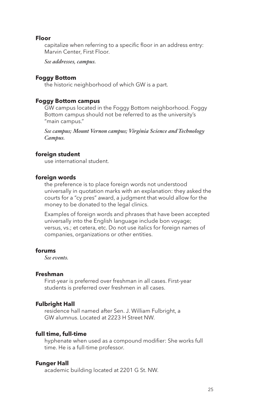# **Floor**

capitalize when referring to a specific floor in an address entry: Marvin Center, First Floor.

*See addresses, campus.*

#### **Foggy Bottom**

the historic neighborhood of which GW is a part.

# **Foggy Bottom campus**

GW campus located in the Foggy Bottom neighborhood. Foggy Bottom campus should not be referred to as the university's "main campus."

*See campus; Mount Vernon campus; Virginia Science and Technology Campus.*

#### **foreign student**

use international student.

#### **foreign words**

the preference is to place foreign words not understood universally in quotation marks with an explanation: they asked the courts for a "cy pres" award, a judgment that would allow for the money to be donated to the legal clinics.

Examples of foreign words and phrases that have been accepted universally into the English language include bon voyage; versus, vs.; et cetera, etc. Do not use italics for foreign names of companies, organizations or other entities.

# **forums**

*See events.*

# **Freshman**

First-year is preferred over freshman in all cases. First-year students is preferred over freshmen in all cases.

#### **Fulbright Hall**

residence hall named after Sen. J. William Fulbright, a GW alumnus. Located at 2223 H Street NW.

#### **full time, full-time**

hyphenate when used as a compound modifier: She works full time. He is a full-time professor.

#### **Funger Hall**

academic building located at 2201 G St. NW.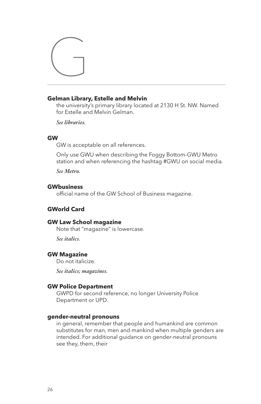

# **Gelman Library, Estelle and Melvin**

the university's primary library located at 2130 H St. NW. Named for Estelle and Melvin Gelman.

*See libraries.*

#### **GW**

GW is acceptable on all references.

Only use GWU when describing the Foggy Bottom-GWU Metro station and when referencing the hashtag #GWU on social media.

*See Metro.*

# **GWbusiness**

official name of the GW School of Business magazine.

# **GWorld Card**

#### **GW Law School magazine**

Note that "magazine" is lowercase.

*See italics.*

# **GW Magazine**

Do not italicize.

*See italics; magazines.*

#### **GW Police Department**

GWPD for second reference, no longer University Police Department or UPD.

#### **gender-neutral pronouns**

in general, remember that people and humankind are common substitutes for man, men and mankind when multiple genders are intended. For additional guidance on gender-neutral pronouns see they, them, their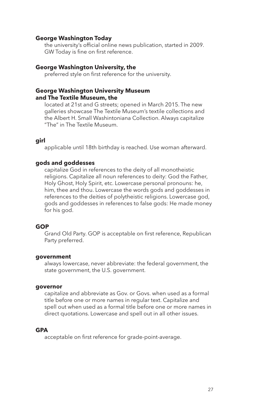# **George Washington Today**

the university's official online news publication, started in 2009. GW Today is fine on first reference.

#### **George Washington University, the**

preferred style on first reference for the university.

# **George Washington University Museum and The Textile Museum, the**

located at 21st and G streets; opened in March 2015. The new galleries showcase The Textile Museum's textile collections and the Albert H. Small Washintoniana Collection. Always capitalize "The" in The Textile Museum.

#### **girl**

applicable until 18th birthday is reached. Use woman afterward.

#### **gods and goddesses**

capitalize God in references to the deity of all monotheistic religions. Capitalize all noun references to deity: God the Father, Holy Ghost, Holy Spirit, etc. Lowercase personal pronouns: he, him, thee and thou. Lowercase the words gods and goddesses in references to the deities of polytheistic religions. Lowercase god, gods and goddesses in references to false gods: He made money for his god.

### **GOP**

Grand Old Party. GOP is acceptable on first reference, Republican Party preferred.

#### **government**

always lowercase, never abbreviate: the federal government, the state government, the U.S. government.

#### **governor**

capitalize and abbreviate as Gov. or Govs. when used as a formal title before one or more names in regular text. Capitalize and spell out when used as a formal title before one or more names in direct quotations. Lowercase and spell out in all other issues.

# **GPA**

acceptable on first reference for grade-point-average.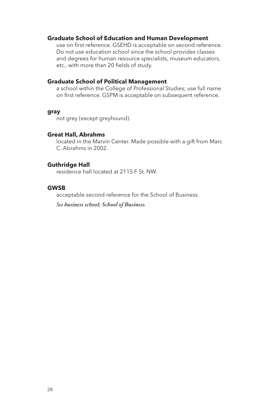#### **Graduate School of Education and Human Development**

use on first reference. GSEHD is acceptable on second reference. Do not use education school since the school provides classes and degrees for human resource specialists, museum educators, etc., with more than 20 fields of study.

# **Graduate School of Political Management**

a school within the College of Professional Studies; use full name on first reference. GSPM is acceptable on subsequent reference.

#### **gray**

not grey (except greyhound).

# **Great Hall, Abrahms**

located in the Marvin Center. Made possible with a gift from Marc C. Abrahms in 2002.

#### **Guthridge Hall**

residence hall located at 2115 F St. NW.

# **GWSB**

acceptable second reference for the School of Business.

*See business school; School of Business.*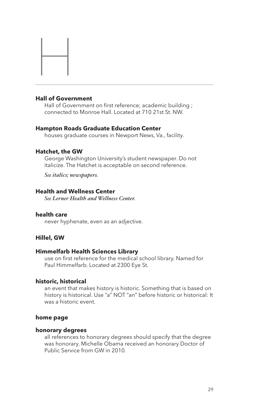# **Hall of Government**

H

Hall of Government on first reference; academic building ; connected to Monroe Hall. Located at 710 21st St. NW.

#### **Hampton Roads Graduate Education Center**

houses graduate courses in Newport News, Va., facility.

### **Hatchet, the GW**

George Washington University's student newspaper. Do not italicize. The Hatchet is acceptable on second reference.

*See italics; newspapers.*

# **Health and Wellness Center**

*See Lerner Health and Wellness Center.*

#### **health care**

never hyphenate, even as an adjective.

# **Hillel, GW**

#### **Himmelfarb Health Sciences Library**

use on first reference for the medical school library. Named for Paul Himmelfarb. Located at 2300 Eye St.

#### **historic, historical**

an event that makes history is historic. Something that is based on history is historical. Use "a" NOT "an" before historic or historical: It was a historic event.

#### **home page**

#### **honorary degrees**

all references to honorary degrees should specify that the degree was honorary. Michelle Obama received an honorary Doctor of Public Service from GW in 2010.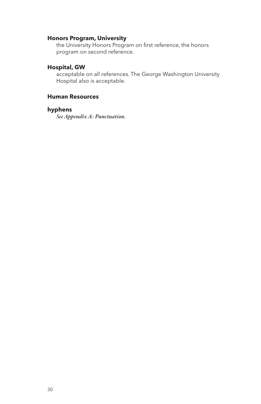# **Honors Program, University**

the University Honors Program on first reference, the honors program on second reference.

# **Hospital, GW**

acceptable on all references. The George Washington University Hospital also is acceptable.

# **Human Resources**

# **hyphens**

*See Appendix A: Punctuation.*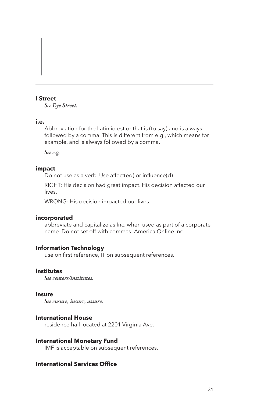# **I Street**

I

*See Eye Street.*

# **i.e.**

Abbreviation for the Latin id est or that is (to say) and is always followed by a comma. This is different from e.g., which means for example, and is always followed by a comma.

*See e.g.*

# **impact**

Do not use as a verb. Use affect(ed) or influence(d).

RIGHT: His decision had great impact. His decision affected our lives.

WRONG: His decision impacted our lives.

#### **incorporated**

abbreviate and capitalize as Inc. when used as part of a corporate name. Do not set off with commas: America Online Inc.

# **Information Technology**

use on first reference, IT on subsequent references.

# **institutes**

*See centers/institutes.*

# **insure**

*See ensure, insure, assure.*

# **International House**

residence hall located at 2201 Virginia Ave.

#### **International Monetary Fund**

IMF is acceptable on subsequent references.

# **International Services Office**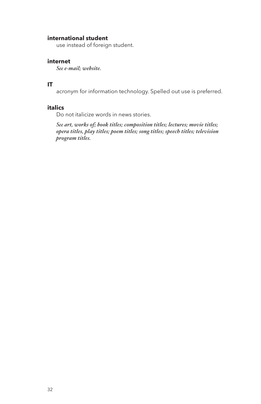# **international student**

use instead of foreign student.

# **internet**

*See e-mail; website.*

# **IT**

acronym for information technology. Spelled out use is preferred.

#### **italics**

Do not italicize words in news stories.

*See art, works of; book titles; composition titles; lectures; movie titles; opera titles, play titles; poem titles; song titles; speech titles; television program titles.*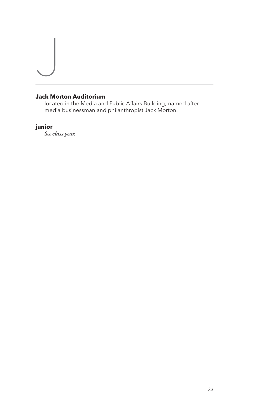# **Jack Morton Auditorium**

located in the Media and Public Affairs Building; named after media businessman and philanthropist Jack Morton.

# **junior**

 $\overline{\phantom{a}}$ 

*See class year.*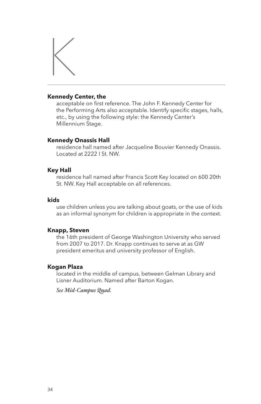

# **Kennedy Center, the**

acceptable on first reference. The John F. Kennedy Center for the Performing Arts also acceptable. Identify specific stages, halls, etc., by using the following style: the Kennedy Center's Millennium Stage.

#### **Kennedy Onassis Hall**

residence hall named after Jacqueline Bouvier Kennedy Onassis. Located at 2222 I St. NW.

#### **Key Hall**

residence hall named after Francis Scott Key located on 600 20th St. NW. Key Hall acceptable on all references.

#### **kids**

use children unless you are talking about goats, or the use of kids as an informal synonym for children is appropriate in the context.

#### **Knapp, Steven**

the 16th president of George Washington University who served from 2007 to 2017. Dr. Knapp continues to serve at as GW president emeritus and university professor of English.

#### **Kogan Plaza**

located in the middle of campus, between Gelman Library and Lisner Auditorium. Named after Barton Kogan.

*See Mid-Campus Quad.*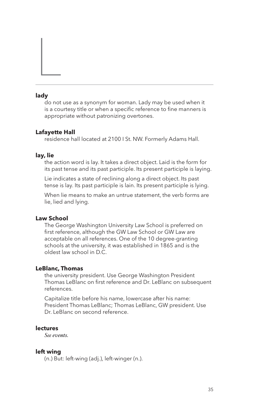#### **lady**

L

do not use as a synonym for woman. Lady may be used when it is a courtesy title or when a specific reference to fine manners is appropriate without patronizing overtones.

## **Lafayette Hall**

residence hall located at 2100 I St. NW. Formerly Adams Hall.

## **lay, lie**

the action word is lay. It takes a direct object. Laid is the form for its past tense and its past participle. Its present participle is laying.

Lie indicates a state of reclining along a direct object. Its past tense is lay. Its past participle is lain. Its present participle is lying.

When lie means to make an untrue statement, the verb forms are lie, lied and lying.

## **Law School**

The George Washington University Law School is preferred on first reference, although the GW Law School or GW Law are acceptable on all references. One of the 10 degree-granting schools at the university, it was established in 1865 and is the oldest law school in D.C.

#### **LeBlanc, Thomas**

the university president. Use George Washington President Thomas LeBlanc on first reference and Dr. LeBlanc on subsequent references.

Capitalize title before his name, lowercase after his name: President Thomas LeBlanc; Thomas LeBlanc, GW president. Use Dr. LeBlanc on second reference.

#### **lectures**

*See events.*

#### **left wing**

(n.) But: left-wing (adj.), left-winger (n.).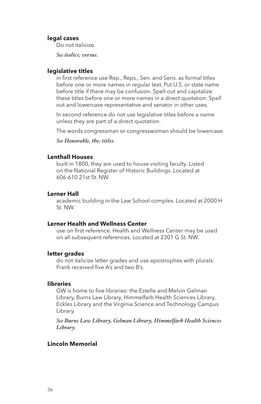#### **legal cases**

Do not italicize.

*See italics; versus.*

#### **legislative titles**

in first reference use Rep., Reps., Sen. and Sens. as formal titles before one or more names in regular text. Put U.S. or state name before title if there may be confusion. Spell out and capitalize these titles before one or more names in a direct quotation. Spell out and lowercase representative and senator in other uses.

In second reference do not use legislative titles before a name unless they are part of a direct quotation.

The words congressman or congresswoman should be lowercase.

*See Honorable, the; titles.*

## **Lenthall Houses**

built in 1800, they are used to house visiting faculty. Listed on the National Register of Historic Buildings. Located at 606-610 21st St. NW.

## **Lerner Hall**

academic building in the Law School complex. Located at 2000 H St. NW.

## **Lerner Health and Wellness Center**

use on first reference. Health and Wellness Center may be used on all subsequent references. Located at 2301 G St. NW.

## **letter grades**

do not italicize letter grades and use apostrophes with plurals: Frank received five A's and two B's.

## **libraries**

GW is home to five libraries: the Estelle and Melvin Gelman Library, Burns Law Library, Himmelfarb Health Sciences Library, Eckles Library and the Virginia Science and Technology Campus Library.

*See Burns Law Library, Gelman Library, Himmelfarb Health Sciences Library.*

## **Lincoln Memorial**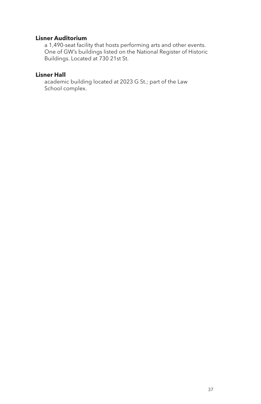# **Lisner Auditorium**

a 1,490-seat facility that hosts performing arts and other events. One of GW's buildings listed on the National Register of Historic Buildings. Located at 730 21st St.

# **Lisner Hall**

academic building located at 2023 G St.; part of the Law School complex.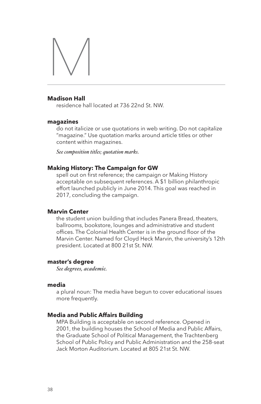

## **Madison Hall**

residence hall located at 736 22nd St. NW.

#### **magazines**

do not italicize or use quotations in web writing. Do not capitalize "magazine." Use quotation marks around article titles or other content within magazines.

*See composition titles; quotation marks.*

#### **Making History: The Campaign for GW**

spell out on first reference; the campaign or Making History acceptable on subsequent references. A \$1 billion philanthropic effort launched publicly in June 2014. This goal was reached in 2017, concluding the campaign.

## **Marvin Center**

the student union building that includes Panera Bread, theaters, ballrooms, bookstore, lounges and administrative and student offices. The Colonial Health Center is in the ground floor of the Marvin Center. Named for Cloyd Heck Marvin, the university's 12th president. Located at 800 21st St. NW.

#### **master's degree**

*See degrees, academic.*

## **media**

a plural noun: The media have begun to cover educational issues more frequently.

#### **Media and Public Affairs Building**

MPA Building is acceptable on second reference. Opened in 2001, the building houses the School of Media and Public Affairs, the Graduate School of Political Management, the Trachtenberg School of Public Policy and Public Administration and the 258-seat Jack Morton Auditorium. Located at 805 21st St. NW.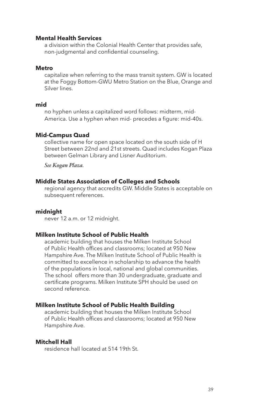## **Mental Health Services**

a division within the Colonial Health Center that provides safe, non-judgmental and confidential counseling.

## **Metro**

capitalize when referring to the mass transit system. GW is located at the Foggy Bottom-GWU Metro Station on the Blue, Orange and Silver lines.

## **mid**

no hyphen unless a capitalized word follows: midterm, mid-America. Use a hyphen when mid- precedes a figure: mid-40s.

## **Mid-Campus Quad**

collective name for open space located on the south side of H Street between 22nd and 21st streets. Quad includes Kogan Plaza between Gelman Library and Lisner Auditorium.

*See Kogan Plaza.*

#### **Middle States Association of Colleges and Schools**

regional agency that accredits GW. Middle States is acceptable on subsequent references.

## **midnight**

never 12 a.m. or 12 midnight.

## **Milken Institute School of Public Health**

academic building that houses the Milken Institute School of Public Health offices and classrooms; located at 950 New Hampshire Ave. The Milken Institute School of Public Health is committed to excellence in scholarship to advance the health of the populations in local, national and global communities. The school offers more than 30 undergraduate, graduate and certificate programs. Milken Institute SPH should be used on second reference.

#### **Milken Institute School of Public Health Building**

academic building that houses the Milken Institute School of Public Health offices and classrooms; located at 950 New Hampshire Ave.

#### **Mitchell Hall**

residence hall located at 514 19th St.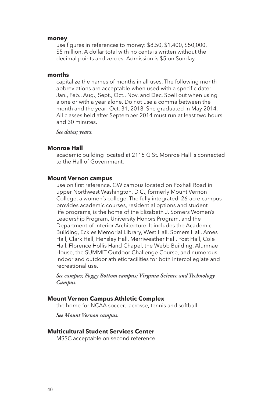#### **money**

use figures in references to money: \$8.50, \$1,400, \$50,000, \$5 million. A dollar total with no cents is written without the decimal points and zeroes: Admission is \$5 on Sunday.

#### **months**

capitalize the names of months in all uses. The following month abbreviations are acceptable when used with a specific date: Jan., Feb., Aug., Sept., Oct., Nov. and Dec. Spell out when using alone or with a year alone. Do not use a comma between the month and the year: Oct. 31, 2018. She graduated in May 2014. All classes held after September 2014 must run at least two hours and 30 minutes.

*See dates; years.*

#### **Monroe Hall**

academic building located at 2115 G St. Monroe Hall is connected to the Hall of Government.

#### **Mount Vernon campus**

use on first reference. GW campus located on Foxhall Road in upper Northwest Washington, D.C., formerly Mount Vernon College, a women's college. The fully integrated, 26-acre campus provides academic courses, residential options and student life programs, is the home of the Elizabeth J. Somers Women's Leadership Program, University Honors Program, and the Department of Interior Architecture. It includes the Academic Building, Eckles Memorial Library, West Hall, Somers Hall, Ames Hall, Clark Hall, Hensley Hall, Merriweather Hall, Post Hall, Cole Hall, Florence Hollis Hand Chapel, the Webb Building, Alumnae House, the SUMMIT Outdoor Challenge Course, and numerous indoor and outdoor athletic facilities for both intercollegiate and recreational use.

*See campus; Foggy Bottom campus; Virginia Science and Technology Campus.*

## **Mount Vernon Campus Athletic Complex**

the home for NCAA soccer, lacrosse, tennis and softball.

*See Mount Vernon campus.*

#### **Multicultural Student Services Center**

MSSC acceptable on second reference.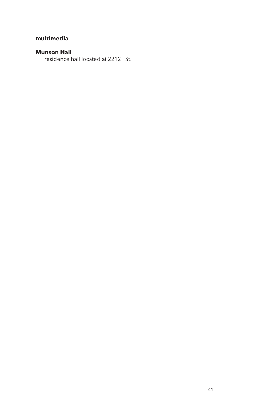# **multimedia**

# **Munson Hall**

residence hall located at 2212 I St.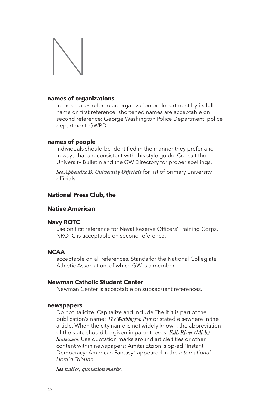

#### **names of organizations**

in most cases refer to an organization or department by its full name on first reference; shortened names are acceptable on second reference: George Washington Police Department, police department, GWPD.

## **names of people**

individuals should be identified in the manner they prefer and in ways that are consistent with this style guide. Consult the University Bulletin and the GW Directory for proper spellings.

*See Appendix B: University Officials* for list of primary university officials.

# **National Press Club, the**

## **Native American**

## **Navy ROTC**

use on first reference for Naval Reserve Officers' Training Corps. NROTC is acceptable on second reference.

## **NCAA**

acceptable on all references. Stands for the National Collegiate Athletic Association, of which GW is a member.

## **Newman Catholic Student Center**

Newman Center is acceptable on subsequent references.

#### **newspapers**

Do not italicize. Capitalize and include The if it is part of the publication's name: *The Washington Post* or stated elsewhere in the article. When the city name is not widely known, the abbreviation of the state should be given in parentheses: *Falls River (Mich.) Statesman*. Use quotation marks around article titles or other content within newspapers: Amitai Etzioni's op-ed "Instant Democracy: American Fantasy" appeared in the *International Herald Tribune*.

*See italics; quotation marks.*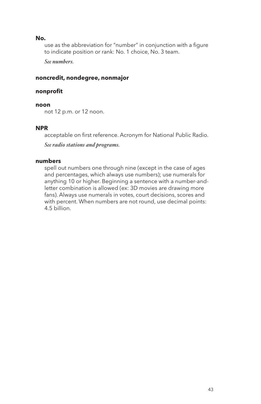## **No.**

use as the abbreviation for "number" in conjunction with a figure to indicate position or rank: No. 1 choice, No. 3 team.

*See numbers.*

## **noncredit, nondegree, nonmajor**

## **nonprofit**

## **noon**

not 12 p.m. or 12 noon.

## **NPR**

acceptable on first reference. Acronym for National Public Radio.

*See radio stations and programs.*

## **numbers**

spell out numbers one through nine (except in the case of ages and percentages, which always use numbers); use numerals for anything 10 or higher. Beginning a sentence with a number-andletter combination is allowed (ex: 3D movies are drawing more fans). Always use numerals in votes, court decisions, scores and with percent. When numbers are not round, use decimal points: 4.5 billion.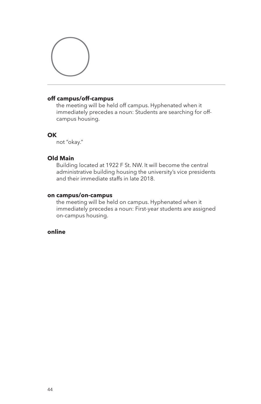

# **off campus/off-campus**

the meeting will be held off campus. Hyphenated when it immediately precedes a noun: Students are searching for offcampus housing.

## **OK**

not "okay."

## **Old Main**

Building located at 1922 F St. NW. It will become the central administrative building housing the university's vice presidents and their immediate staffs in late 2018.

## **on campus/on-campus**

the meeting will be held on campus. Hyphenated when it immediately precedes a noun: First-year students are assigned on-campus housing.

# **online**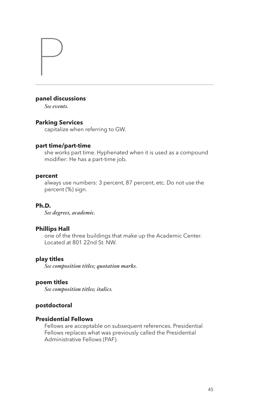## **panel discussions**

*See events.*

P

## **Parking Services**

capitalize when referring to GW.

## **part time/part-time**

she works part time. Hyphenated when it is used as a compound modifier: He has a part-time job.

## **percent**

always use numbers: 3 percent, 87 percent, etc. Do not use the percent (%) sign.

# **Ph.D.**

*See degrees, academic.*

## **Phillips Hall**

one of the three buildings that make up the Academic Center. Located at 801 22nd St. NW.

#### **play titles**

*See composition titles; quotation marks.*

# **poem titles**

*See composition titles; italics.*

# **postdoctoral**

## **Presidential Fellows**

Fellows are acceptable on subsequent references. Presidential Fellows replaces what was previously called the Presidential Administrative Fellows (PAF).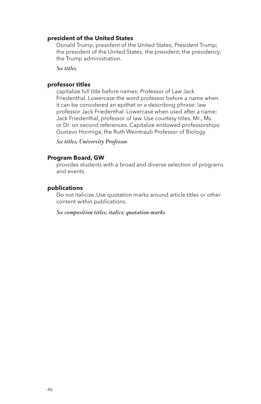#### **president of the United States**

Donald Trump, president of the United States; President Trump; the president of the United States; the president; the presidency; the Trump administration.

*See titles.*

## **professor titles**

capitalize full title before names: Professor of Law Jack Friedenthal. Lowercase the word professor before a name when it can be considered an epithet or a describing phrase: law professor Jack Friedenthal. Lowercase when used after a name: Jack Friedenthal, professor of law. Use courtesy titles, Mr., Ms. or Dr. on second references. Capitalize endowed professorships: Gustavo Hormiga, the Ruth Weintraub Professor of Biology.

*See titles; University Professor.*

## **Program Board, GW**

provides students with a broad and diverse selection of programs and events.

## **publications**

Do not italicize. Use quotation marks around article titles or other content within publications.

*See composition titles; italics; quotation marks.*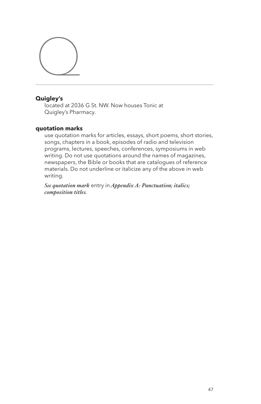

# **Quigley's**

located at 2036 G St. NW. Now houses Tonic at Quigley's Pharmacy.

## **quotation marks**

use quotation marks for articles, essays, short poems, short stories, songs, chapters in a book, episodes of radio and television programs, lectures, speeches, conferences, symposiums in web writing. Do not use quotations around the names of magazines, newspapers, the Bible or books that are catalogues of reference materials. Do not underline or italicize any of the above in web writing.

*See quotation mark* entry in *Appendix A: Punctuation; italics; composition titles.*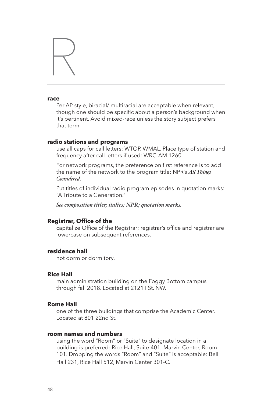# R

#### **race**

Per AP style, biracial/ multiracial are acceptable when relevant, though one should be specific about a person's background when it's pertinent. Avoid mixed-race unless the story subject prefers that term.

#### **radio stations and programs**

use all caps for call letters: WTOP, WMAL. Place type of station and frequency after call letters if used: WRC-AM 1260.

For network programs, the preference on first reference is to add the name of the network to the program title: NPR's *All Things Considered*.

Put titles of individual radio program episodes in quotation marks: "A Tribute to a Generation."

*See composition titles; italics; NPR; quotation marks.*

#### **Registrar, Office of the**

capitalize Office of the Registrar; registrar's office and registrar are lowercase on subsequent references.

## **residence hall**

not dorm or dormitory.

## **Rice Hall**

main administration building on the Foggy Bottom campus through fall 2018. Located at 2121 I St. NW.

## **Rome Hall**

one of the three buildings that comprise the Academic Center. Located at 801 22nd St.

## **room names and numbers**

using the word "Room" or "Suite" to designate location in a building is preferred: Rice Hall, Suite 401; Marvin Center, Room 101. Dropping the words "Room" and "Suite" is acceptable: Bell Hall 231, Rice Hall 512, Marvin Center 301-C.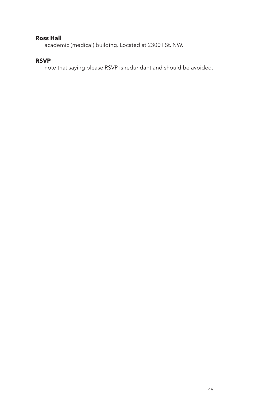# **Ross Hall**

academic (medical) building. Located at 2300 I St. NW.

# **RSVP**

note that saying please RSVP is redundant and should be avoided.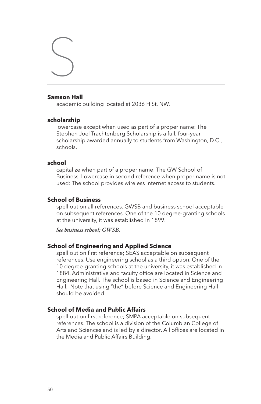## **Samson Hall**

S

academic building located at 2036 H St. NW.

#### **scholarship**

lowercase except when used as part of a proper name: The Stephen Joel Trachtenberg Scholarship is a full, four-year scholarship awarded annually to students from Washington, D.C., schools.

#### **school**

capitalize when part of a proper name: The GW School of Business. Lowercase in second reference when proper name is not used: The school provides wireless internet access to students.

## **School of Business**

spell out on all references. GWSB and business school acceptable on subsequent references. One of the 10 degree-granting schools at the university, it was established in 1899.

*See business school; GWSB.*

## **School of Engineering and Applied Science**

spell out on first reference; SEAS acceptable on subsequent references. Use engineering school as a third option. One of the 10 degree-granting schools at the university, it was established in 1884. Administrative and faculty office are located in Science and Engineering Hall. The school is based in Science and Engineering Hall. Note that using "the" before Science and Engineering Hall should be avoided.

# **School of Media and Public Affairs**

spell out on first reference; SMPA acceptable on subsequent references. The school is a division of the Columbian College of Arts and Sciences and is led by a director. All offices are located in the Media and Public Affairs Building.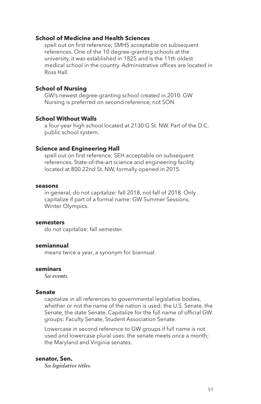## **School of Medicine and Health Sciences**

spell out on first reference; SMHS acceptable on subsequent references. One of the 10 degree-granting schools at the university, it was established in 1825 and is the 11th oldest medical school in the country. Administrative offices are located in Ross Hall.

## **School of Nursing**

GW's newest degree-granting school created in 2010. GW Nursing is preferred on second reference, not SON

## **School Without Walls**

a four-year high school located at 2130 G St. NW. Part of the D.C. public school system.

#### **Science and Engineering Hall**

spell out on first reference; SEH acceptable on subsequent references. State-of-the-art science and engineering facility located at 800 22nd St. NW, formally opened in 2015.

#### **seasons**

in general, do not capitalize: fall 2018, not fall of 2018. Only capitalize if part of a formal name: GW Summer Sessions, Winter Olympics.

#### **semesters**

do not capitalize: fall semester.

## **semiannual**

means twice a year, a synonym for biannual.

## **seminars**

*See events.*

#### **Senate**

capitalize in all references to governmental legislative bodies, whether or not the name of the nation is used: the U.S. Senate, the Senate, the state Senate. Capitalize for the full name of official GW groups: Faculty Senate, Student Association Senate.

Lowercase in second reference to GW groups if full name is not used and lowercase plural uses: the senate meets once a month; the Maryland and Virginia senates.

#### **senator, Sen.**

*See legislative titles.*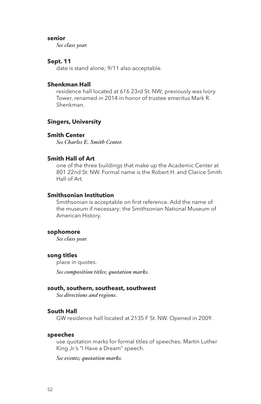## **senior**

*See class year.*

#### **Sept. 11**

date is stand alone; 9/11 also acceptable.

## **Shenkman Hall**

residence hall located at 616 23rd St. NW; previously was Ivory Tower, renamed in 2014 in honor of trustee emeritus Mark R. Shenkman.

## **Singers, University**

## **Smith Center**

*See Charles E. Smith Center.*

## **Smith Hall of Art**

one of the three buildings that make up the Academic Center at 801 22nd St. NW. Formal name is the Robert H. and Clarice Smith Hall of Art.

## **Smithsonian Institution**

Smithsonian is acceptable on first reference. Add the name of the museum if necessary: the Smithsonian National Museum of American History.

#### **sophomore**

*See class year.*

#### **song titles**

place in quotes.

*See composition titles; quotation marks.*

#### **south, southern, southeast, southwest**

*See directions and regions.*

#### **South Hall**

GW residence hall located at 2135 F St. NW. Opened in 2009.

#### **speeches**

use quotation marks for formal titles of speeches: Martin Luther King Jr.'s "I Have a Dream" speech.

*See events; quotation marks.*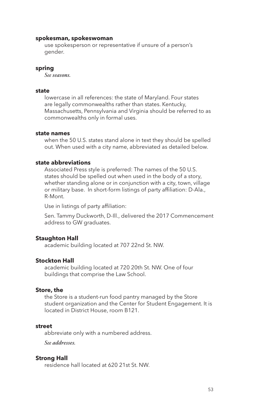#### **spokesman, spokeswoman**

use spokesperson or representative if unsure of a person's gender.

#### **spring**

*See seasons.*

#### **state**

lowercase in all references: the state of Maryland. Four states are legally commonwealths rather than states. Kentucky, Massachusetts, Pennsylvania and Virginia should be referred to as commonwealths only in formal uses.

## **state names**

when the 50 U.S. states stand alone in text they should be spelled out. When used with a city name, abbreviated as detailed below.

#### **state abbreviations**

Associated Press style is preferred: The names of the 50 U.S. states should be spelled out when used in the body of a story, whether standing alone or in conjunction with a city, town, village or military base. In short-form listings of party affiliation: D-Ala., R-Mont.

Use in listings of party affiliation:

Sen. Tammy Duckworth, D-Ill., delivered the 2017 Commencement address to GW graduates.

## **Staughton Hall**

academic building located at 707 22nd St. NW.

## **Stockton Hall**

academic building located at 720 20th St. NW. One of four buildings that comprise the Law School.

#### **Store, the**

the Store is a student-run food pantry managed by the Store student organization and the Center for Student Engagement. It is located in District House, room B121.

#### **street**

abbreviate only with a numbered address.

*See addresses.*

#### **Strong Hall**

residence hall located at 620 21st St. NW.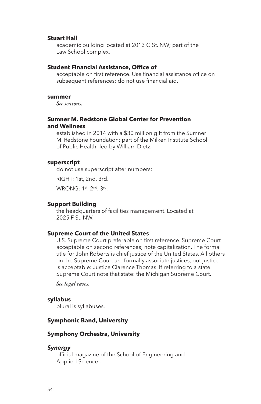#### **Stuart Hall**

academic building located at 2013 G St. NW; part of the Law School complex.

#### **Student Financial Assistance, Office of**

acceptable on first reference. Use financial assistance office on subsequent references; do not use financial aid.

#### **summer**

*See seasons.*

## **Sumner M. Redstone Global Center for Prevention and Wellness**

established in 2014 with a \$30 million gift from the Sumner M. Redstone Foundation; part of the Milken Institute School of Public Health; led by William Dietz.

## **superscript**

do not use superscript after numbers:

RIGHT: 1st, 2nd, 3rd.

WRONG: 1st, 2nd, 3rd.

#### **Support Building**

the headquarters of facilities management. Located at 2025 F St. NW.

## **Supreme Court of the United States**

U.S. Supreme Court preferable on first reference. Supreme Court acceptable on second references; note capitalization. The formal title for John Roberts is chief justice of the United States. All others on the Supreme Court are formally associate justices, but justice is acceptable: Justice Clarence Thomas. If referring to a state Supreme Court note that state: the Michigan Supreme Court.

*See legal cases.*

#### **syllabus**

plural is syllabuses.

# **Symphonic Band, University**

## **Symphony Orchestra, University**

## **Synergy**

official magazine of the School of Engineering and Applied Science.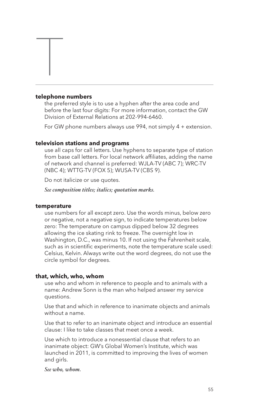## **telephone numbers**

 $\overline{\mathbb{I}}$ 

the preferred style is to use a hyphen after the area code and before the last four digits: For more information, contact the GW Division of External Relations at 202-994-6460.

For GW phone numbers always use 994, not simply 4 + extension.

## **television stations and programs**

use all caps for call letters. Use hyphens to separate type of station from base call letters. For local network affiliates, adding the name of network and channel is preferred: WJLA-TV (ABC 7); WRC-TV (NBC 4); WTTG-TV (FOX 5); WUSA-TV (CBS 9).

Do not italicize or use quotes.

*See composition titles; italics; quotation marks.*

#### **temperature**

use numbers for all except zero. Use the words minus, below zero or negative, not a negative sign, to indicate temperatures below zero: The temperature on campus dipped below 32 degrees allowing the ice skating rink to freeze. The overnight low in Washington, D.C., was minus 10. If not using the Fahrenheit scale, such as in scientific experiments, note the temperature scale used: Celsius, Kelvin. Always write out the word degrees, do not use the circle symbol for degrees.

#### **that, which, who, whom**

use who and whom in reference to people and to animals with a name: Andrew Sonn is the man who helped answer my service questions.

Use that and which in reference to inanimate objects and animals without a name.

Use that to refer to an inanimate object and introduce an essential clause: I like to take classes that meet once a week.

Use which to introduce a nonessential clause that refers to an inanimate object: GW's Global Women's Institute, which was launched in 2011, is committed to improving the lives of women and girls.

*See who, whom.*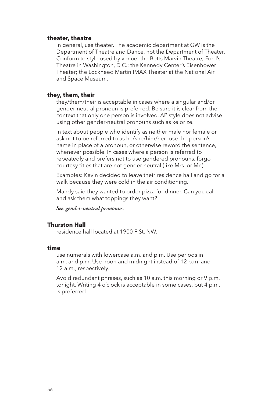#### **theater, theatre**

in general, use theater. The academic department at GW is the Department of Theatre and Dance, not the Department of Theater. Conform to style used by venue: the Betts Marvin Theatre; Ford's Theatre in Washington, D.C.; the Kennedy Center's Eisenhower Theater; the Lockheed Martin IMAX Theater at the National Air and Space Museum.

#### **they, them, their**

they/them/their is acceptable in cases where a singular and/or gender-neutral pronoun is preferred. Be sure it is clear from the context that only one person is involved. AP style does not advise using other gender-neutral pronouns such as xe or ze.

In text about people who identify as neither male nor female or ask not to be referred to as he/she/him/her: use the person's name in place of a pronoun, or otherwise reword the sentence, whenever possible. In cases where a person is referred to repeatedly and prefers not to use gendered pronouns, forgo courtesy titles that are not gender neutral (like Mrs. or Mr.).

Examples: Kevin decided to leave their residence hall and go for a walk because they were cold in the air conditioning.

Mandy said they wanted to order pizza for dinner. Can you call and ask them what toppings they want?

*See: gender-neutral pronouns.*

## **Thurston Hall**

residence hall located at 1900 F St. NW.

## **time**

use numerals with lowercase a.m. and p.m. Use periods in a.m. and p.m. Use noon and midnight instead of 12 p.m. and 12 a.m., respectively.

Avoid redundant phrases, such as 10 a.m. this morning or 9 p.m. tonight. Writing 4 o'clock is acceptable in some cases, but 4 p.m. is preferred.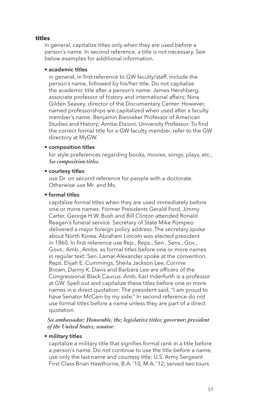## **titles**

in general, capitalize titles only when they are used before a person's name. In second reference, a title is not necessary. See below examples for additional information.

## • academic titles

in general, in first reference to GW faculty/staff, include the person's name, followed by his/her title. Do not capitalize the academic title after a person's name: James Hershberg, associate professor of history and international affairs; Nina Gilden Seavey, director of the Documentary Center. However, named professorships are capitalized when used after a faculty member's name: Benjamin Banneker Professor of American Studies and History; Amitai Etzioni, University Professor. To find the correct formal title for a GW faculty member, refer to the GW directory at MyGW.

## • composition titles

for style preferences regarding books, movies, songs, plays, etc., *See composition titles.*

## • courtesy titles

use Dr. on second reference for people with a doctorate. Otherwise use Mr. and Ms.

## • formal titles

capitalize formal titles when they are used immediately before one or more names: Former Presidents Gerald Ford, Jimmy Carter, George H.W. Bush and Bill Clinton attended Ronald Reagan's funeral service. Secretary of State Mike Pompeo delivered a major foreign policy address. The secretary spoke about North Korea. Abraham Lincoln was elected president in 1860. In first reference use Rep., Reps., Sen., Sens., Gov., Govs., Amb., Ambs. as formal titles before one or more names in regular text: Sen. Lamar Alexander spoke at the convention. Reps. Elijah E. Cummings, Sheila Jackson Lee, Corrine Brown, Danny K. Davis and Barbara Lee are officers of the Congressional Black Caucus. Amb. Karl Inderfurth is a professor at GW. Spell out and capitalize these titles before one or more names in a direct quotation: The president said, "I am proud to have Senator McCain by my side." In second reference do not use formal titles before a name unless they are part of a direct quotation.

*See ambassador; Honorable, the; legislative titles; governor; president of the United States; senator.*

#### • military titles

capitalize a military title that signifies formal rank in a title before a person's name. Do not continue to use the title before a name, use only the last name and courtesy title: U.S. Army Sergeant First Class Brian Hawthorne, B.A. '10, M.A. '12, served two tours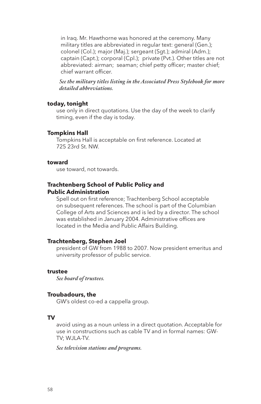in Iraq. Mr. Hawthorne was honored at the ceremony. Many military titles are abbreviated in regular text: general (Gen.); colonel (Col.); major (Maj.); sergeant (Sgt.); admiral (Adm.); captain (Capt.); corporal (Cpl.); private (Pvt.). Other titles are not abbreviated: airman; seaman; chief petty officer; master chief; chief warrant officer.

*See the military titles listing in the Associated Press Stylebook for more detailed abbreviations.*

#### **today, tonight**

use only in direct quotations. Use the day of the week to clarify timing, even if the day is today.

#### **Tompkins Hall**

Tompkins Hall is acceptable on first reference. Located at 725 23rd St. NW.

#### **toward**

use toward, not towards.

## **Trachtenberg School of Public Policy and Public Administration**

Spell out on first reference; Trachtenberg School acceptable on subsequent references. The school is part of the Columbian College of Arts and Sciences and is led by a director. The school was established in January 2004. Administrative offices are located in the Media and Public Affairs Building.

## **Trachtenberg, Stephen Joel**

president of GW from 1988 to 2007. Now president emeritus and university professor of public service.

## **trustee**

*See board of trustees.*

#### **Troubadours, the**

GW's oldest co-ed a cappella group.

## **TV**

avoid using as a noun unless in a direct quotation. Acceptable for use in constructions such as cable TV and in formal names: GW-TV; WJLA-TV.

*See television stations and programs.*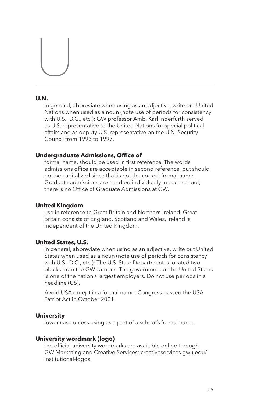# $\begin{picture}(20,20) \put(0,0){\line(1,0){10}} \put(15,0){\line(1,0){10}} \put(15,0){\line(1,0){10}} \put(15,0){\line(1,0){10}} \put(15,0){\line(1,0){10}} \put(15,0){\line(1,0){10}} \put(15,0){\line(1,0){10}} \put(15,0){\line(1,0){10}} \put(15,0){\line(1,0){10}} \put(15,0){\line(1,0){10}} \put(15,0){\line(1,0){10}} \put(15,0){\line(1$

# **U.N.**

in general, abbreviate when using as an adjective, write out United Nations when used as a noun (note use of periods for consistency with U.S., D.C., etc.): GW professor Amb. Karl Inderfurth served as U.S. representative to the United Nations for special political affairs and as deputy U.S. representative on the U.N. Security Council from 1993 to 1997.

## **Undergraduate Admissions, Office of**

formal name, should be used in first reference. The words admissions office are acceptable in second reference, but should not be capitalized since that is not the correct formal name. Graduate admissions are handled individually in each school; there is no Office of Graduate Admissions at GW.

## **United Kingdom**

use in reference to Great Britain and Northern Ireland. Great Britain consists of England, Scotland and Wales. Ireland is independent of the United Kingdom.

## **United States, U.S.**

in general, abbreviate when using as an adjective, write out United States when used as a noun (note use of periods for consistency with U.S., D.C., etc.): The U.S. State Department is located two blocks from the GW campus. The government of the United States is one of the nation's largest employers. Do not use periods in a headline (US).

Avoid USA except in a formal name: Congress passed the USA Patriot Act in October 2001.

## **University**

lower case unless using as a part of a school's formal name.

## **University wordmark (logo)**

the official university wordmarks are available online through GW Marketing and Creative Services: creativeservices.gwu.edu/ institutional-logos.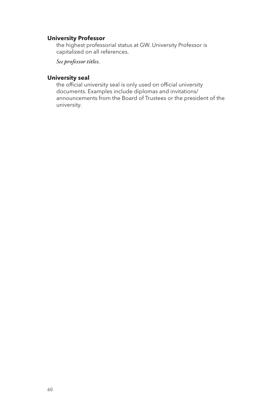# **University Professor**

the highest professorial status at GW. University Professor is capitalized on all references.

*See professor titles.*

# **University seal**

the official university seal is only used on official university documents. Examples include diplomas and invitations/ announcements from the Board of Trustees or the president of the university.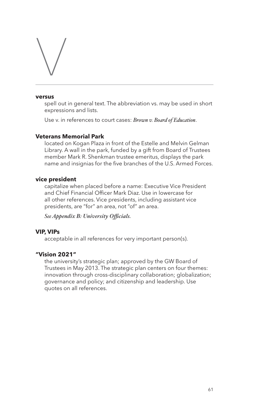# $\setminus$

#### **versus**

spell out in general text. The abbreviation vs. may be used in short expressions and lists.

Use v. in references to court cases: *Brown v. Board of Education*.

# **Veterans Memorial Park**

located on Kogan Plaza in front of the Estelle and Melvin Gelman Library. A wall in the park, funded by a gift from Board of Trustees member Mark R. Shenkman trustee emeritus, displays the park name and insignias for the five branches of the U.S. Armed Forces.

## **vice president**

capitalize when placed before a name: Executive Vice President and Chief Financial Officer Mark Diaz. Use in lowercase for all other references. Vice presidents, including assistant vice presidents, are "for" an area, not "of" an area.

*See Appendix B: University Officials.*

## **VIP, VIPs**

acceptable in all references for very important person(s).

## **"Vision 2021"**

the university's strategic plan; approved by the GW Board of Trustees in May 2013. The strategic plan centers on four themes: innovation through cross-disciplinary collaboration; globalization; governance and policy; and citizenship and leadership. Use quotes on all references.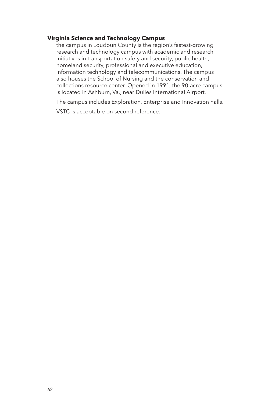## **Virginia Science and Technology Campus**

the campus in Loudoun County is the region's fastest-growing research and technology campus with academic and research initiatives in transportation safety and security, public health, homeland security, professional and executive education, information technology and telecommunications. The campus also houses the School of Nursing and the conservation and collections resource center. Opened in 1991, the 90-acre campus is located in Ashburn, Va., near Dulles International Airport.

The campus includes Exploration, Enterprise and Innovation halls.

VSTC is acceptable on second reference.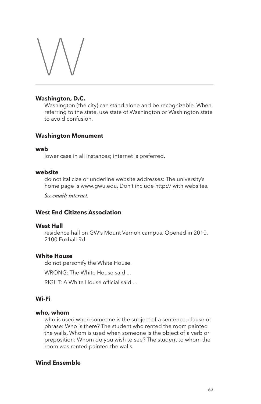# W

# **Washington, D.C.**

Washington (the city) can stand alone and be recognizable. When referring to the state, use state of Washington or Washington state to avoid confusion.

# **Washington Monument**

## **web**

lower case in all instances; internet is preferred.

## **website**

do not italicize or underline website addresses: The university's home page is www.gwu.edu. Don't include http:// with websites.

*See email; internet.*

# **West End Citizens Association**

## **West Hall**

residence hall on GW's Mount Vernon campus. Opened in 2010. 2100 Foxhall Rd.

# **White House**

do not personify the White House.

WRONG: The White House said ...

RIGHT: A White House official said ...

# **Wi-Fi**

## **who, whom**

who is used when someone is the subject of a sentence, clause or phrase: Who is there? The student who rented the room painted the walls. Whom is used when someone is the object of a verb or preposition: Whom do you wish to see? The student to whom the room was rented painted the walls.

# **Wind Ensemble**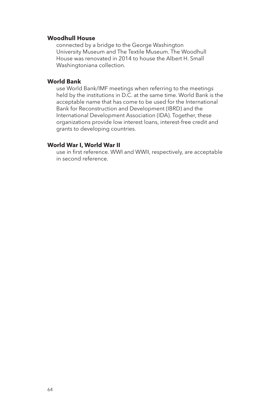## **Woodhull House**

connected by a bridge to the George Washington University Museum and The Textile Museum. The Woodhull House was renovated in 2014 to house the Albert H. Small Washingtoniana collection.

## **World Bank**

use World Bank/IMF meetings when referring to the meetings held by the institutions in D.C. at the same time. World Bank is the acceptable name that has come to be used for the International Bank for Reconstruction and Development (IBRD) and the International Development Association (IDA). Together, these organizations provide low interest loans, interest-free credit and grants to developing countries.

## **World War I, World War II**

use in first reference. WWI and WWII, respectively, are acceptable in second reference.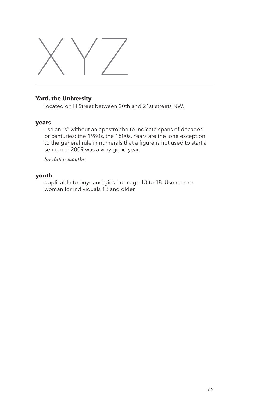

# **Yard, the University**

located on H Street between 20th and 21st streets NW.

## **years**

use an "s" without an apostrophe to indicate spans of decades or centuries: the 1980s, the 1800s. Years are the lone exception to the general rule in numerals that a figure is not used to start a sentence: 2009 was a very good year.

## *See dates; months.*

## **youth**

applicable to boys and girls from age 13 to 18. Use man or woman for individuals 18 and older.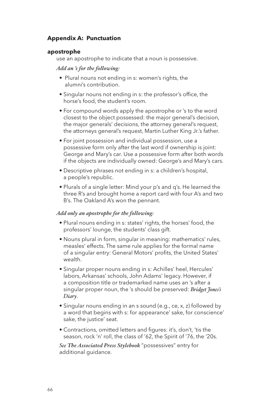# **Appendix A: Punctuation**

## **apostrophe**

use an apostrophe to indicate that a noun is possessive.

## *Add an 's for the following:*

- Plural nouns not ending in s: women's rights, the alumni's contribution.
- Singular nouns not ending in s: the professor's office, the horse's food, the student's room.
- For compound words apply the apostrophe or 's to the word closest to the object possessed: the major general's decision, the major generals' decisions, the attorney general's request, the attorneys general's request, Martin Luther King Jr.'s father.
- For joint possession and individual possession, use a possessive form only after the last word if ownership is joint: George and Mary's car. Use a possessive form after both words if the objects are individually owned: George's and Mary's cars.
- Descriptive phrases not ending in s: a children's hospital, a people's republic.
- Plurals of a single letter: Mind your p's and q's. He learned the three R's and brought home a report card with four A's and two B's. The Oakland A's won the pennant.

## *Add only an apostrophe for the following:*

- Plural nouns ending in s: states' rights, the horses' food, the professors' lounge, the students' class gift.
- Nouns plural in form, singular in meaning: mathematics' rules, measles' effects. The same rule applies for the formal name of a singular entry: General Motors' profits, the United States' wealth.
- Singular proper nouns ending in s: Achilles' heel, Hercules' labors, Arkansas' schools, John Adams' legacy. However, if a composition title or trademarked name uses an 's after a singular proper noun, the 's should be preserved: *Bridget Jones's Diary*.
- Singular nouns ending in an s sound (e.g., ce, x, z) followed by a word that begins with s: for appearance' sake, for conscience' sake, the justice' seat.
- Contractions, omitted letters and figures: it's, don't, 'tis the season, rock 'n' roll, the class of '62, the Spirit of '76, the '20s.

*See The Associated Press Stylebook* "possessives" entry for additional guidance.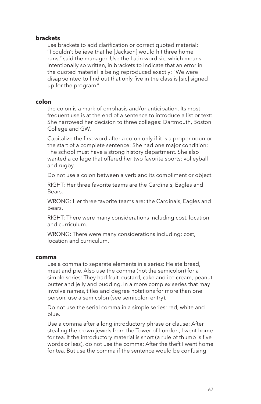## **brackets**

use brackets to add clarification or correct quoted material: "I couldn't believe that he [Jackson] would hit three home runs," said the manager. Use the Latin word sic, which means intentionally so written, in brackets to indicate that an error in the quoted material is being reproduced exactly: "We were disappointed to find out that only five in the class is [sic] signed up for the program."

## **colon**

the colon is a mark of emphasis and/or anticipation. Its most frequent use is at the end of a sentence to introduce a list or text: She narrowed her decision to three colleges: Dartmouth, Boston College and GW.

Capitalize the first word after a colon only if it is a proper noun or the start of a complete sentence: She had one major condition: The school must have a strong history department. She also wanted a college that offered her two favorite sports: volleyball and rugby.

Do not use a colon between a verb and its compliment or object:

RIGHT: Her three favorite teams are the Cardinals, Eagles and Bears.

WRONG: Her three favorite teams are: the Cardinals, Eagles and Bears.

RIGHT: There were many considerations including cost, location and curriculum.

WRONG: There were many considerations including: cost, location and curriculum.

#### **comma**

use a comma to separate elements in a series: He ate bread, meat and pie. Also use the comma (not the semicolon) for a simple series: They had fruit, custard, cake and ice cream, peanut butter and jelly and pudding. In a more complex series that may involve names, titles and degree notations for more than one person, use a semicolon (see semicolon entry).

Do not use the serial comma in a simple series: red, white and blue.

Use a comma after a long introductory phrase or clause: After stealing the crown jewels from the Tower of London, I went home for tea. If the introductory material is short (a rule of thumb is five words or less), do not use the comma: After the theft I went home for tea. But use the comma if the sentence would be confusing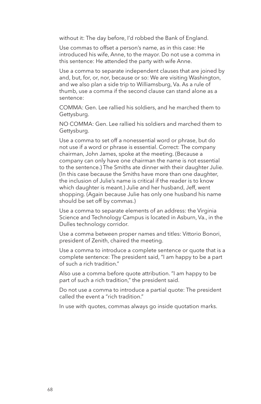without it: The day before, I'd robbed the Bank of England.

Use commas to offset a person's name, as in this case: He introduced his wife, Anne, to the mayor. Do not use a comma in this sentence: He attended the party with wife Anne.

Use a comma to separate independent clauses that are joined by and, but, for, or, nor, because or so: We are visiting Washington, and we also plan a side trip to Williamsburg, Va. As a rule of thumb, use a comma if the second clause can stand alone as a sentence:

COMMA: Gen. Lee rallied his soldiers, and he marched them to Gettysburg.

NO COMMA: Gen. Lee rallied his soldiers and marched them to Gettysburg.

Use a comma to set off a nonessential word or phrase, but do not use if a word or phrase is essential. Correct: The company chairman, John James, spoke at the meeting. (Because a company can only have one chairman the name is not essential to the sentence.) The Smiths ate dinner with their daughter Julie. (In this case because the Smiths have more than one daughter, the inclusion of Julie's name is critical if the reader is to know which daughter is meant.) Julie and her husband, Jeff, went shopping. (Again because Julie has only one husband his name should be set off by commas.)

Use a comma to separate elements of an address: the Virginia Science and Technology Campus is located in Asburn, Va., in the Dulles technology corridor.

Use a comma between proper names and titles: Vittorio Bonori, president of Zenith, chaired the meeting.

Use a comma to introduce a complete sentence or quote that is a complete sentence: The president said, "I am happy to be a part of such a rich tradition."

Also use a comma before quote attribution. "I am happy to be part of such a rich tradition," the president said.

Do not use a comma to introduce a partial quote: The president called the event a "rich tradition."

In use with quotes, commas always go inside quotation marks.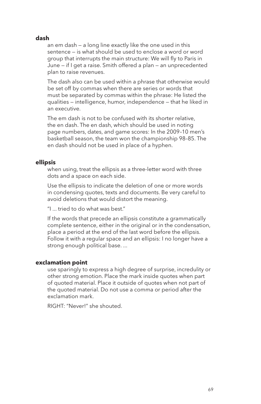# **dash**

an em dash — a long line exactly like the one used in this sentence — is what should be used to enclose a word or word group that interrupts the main structure: We will fly to Paris in June — if I get a raise. Smith offered a plan — an unprecedented plan to raise revenues.

The dash also can be used within a phrase that otherwise would be set off by commas when there are series or words that must be separated by commas within the phrase: He listed the qualities — intelligence, humor, independence — that he liked in an executive.

The em dash is not to be confused with its shorter relative, the en dash. The en dash, which should be used in noting page numbers, dates, and game scores: In the 2009–10 men's basketball season, the team won the championship 98–85. The en dash should not be used in place of a hyphen.

## **ellipsis**

when using, treat the ellipsis as a three-letter word with three dots and a space on each side.

Use the ellipsis to indicate the deletion of one or more words in condensing quotes, texts and documents. Be very careful to avoid deletions that would distort the meaning.

"I ... tried to do what was best."

If the words that precede an ellipsis constitute a grammatically complete sentence, either in the original or in the condensation, place a period at the end of the last word before the ellipsis. Follow it with a regular space and an ellipsis: I no longer have a strong enough political base. ...

#### **exclamation point**

use sparingly to express a high degree of surprise, incredulity or other strong emotion. Place the mark inside quotes when part of quoted material. Place it outside of quotes when not part of the quoted material. Do not use a comma or period after the exclamation mark.

RIGHT: "Never!" she shouted.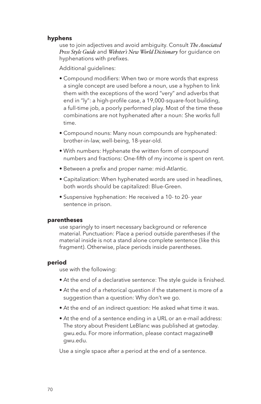## **hyphens**

use to join adjectives and avoid ambiguity. Consult *The Associated Press Style Guide* and *Webster's New World Dictionary* for guidance on hyphenations with prefixes.

Additional guidelines:

- Compound modifiers: When two or more words that express a single concept are used before a noun, use a hyphen to link them with the exceptions of the word "very" and adverbs that end in "ly": a high-profile case, a 19,000-square-foot building, a full-time job, a poorly performed play. Most of the time these combinations are not hyphenated after a noun: She works full time.
- Compound nouns: Many noun compounds are hyphenated: brother-in-law, well-being, 18-year-old.
- With numbers: Hyphenate the written form of compound numbers and fractions: One-fifth of my income is spent on rent.
- Between a prefix and proper name: mid-Atlantic.
- Capitalization: When hyphenated words are used in headlines, both words should be capitalized: Blue-Green.
- Suspensive hyphenation: He received a 10- to 20- year sentence in prison.

## **parentheses**

use sparingly to insert necessary background or reference material. Punctuation: Place a period outside parentheses if the material inside is not a stand alone complete sentence (like this fragment). Otherwise, place periods inside parentheses.

#### **period**

use with the following:

- At the end of a declarative sentence: The style guide is finished.
- At the end of a rhetorical question if the statement is more of a suggestion than a question: Why don't we go.
- At the end of an indirect question: He asked what time it was.
- At the end of a sentence ending in a URL or an e-mail address: The story about President LeBlanc was published at gwtoday. gwu.edu. For more information, please contact magazine@ gwu.edu.

Use a single space after a period at the end of a sentence.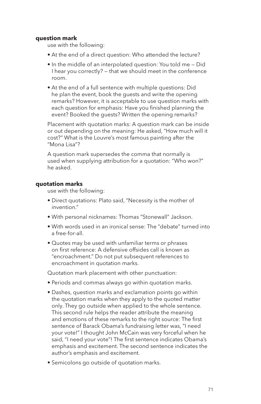#### **question mark**

use with the following:

- At the end of a direct question: Who attended the lecture?
- In the middle of an interpolated question: You told me Did I hear you correctly? — that we should meet in the conference room.
- At the end of a full sentence with multiple questions: Did he plan the event, book the guests and write the opening remarks? However, it is acceptable to use question marks with each question for emphasis: Have you finished planning the event? Booked the guests? Written the opening remarks?

Placement with quotation marks: A question mark can be inside or out depending on the meaning: He asked, "How much will it cost?" What is the Louvre's most famous painting after the "Mona Lisa"?

A question mark supersedes the comma that normally is used when supplying attribution for a quotation: "Who won?" he asked.

#### **quotation marks**

use with the following:

- Direct quotations: Plato said, "Necessity is the mother of invention."
- With personal nicknames: Thomas "Stonewall" Jackson.
- With words used in an ironical sense: The "debate" turned into a free-for-all.
- Quotes may be used with unfamiliar terms or phrases on first reference: A defensive offsides call is known as "encroachment." Do not put subsequent references to encroachment in quotation marks.

Quotation mark placement with other punctuation:

- Periods and commas always go within quotation marks.
- Dashes, question marks and exclamation points go within the quotation marks when they apply to the quoted matter only. They go outside when applied to the whole sentence. This second rule helps the reader attribute the meaning and emotions of these remarks to the right source: The first sentence of Barack Obama's fundraising letter was, "I need your vote!" I thought John McCain was very forceful when he said, "I need your vote"! The first sentence indicates Obama's emphasis and excitement. The second sentence indicates the author's emphasis and excitement.
- Semicolons go outside of quotation marks.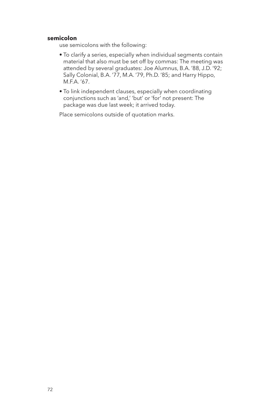#### **semicolon**

use semicolons with the following:

- To clarify a series, especially when individual segments contain material that also must be set off by commas: The meeting was attended by several graduates: Joe Alumnus, B.A. '88, J.D. '92; Sally Colonial, B.A. '77, M.A. '79, Ph.D. '85; and Harry Hippo, M.F.A. '67.
- To link independent clauses, especially when coordinating conjunctions such as 'and,' 'but' or 'for' not present: The package was due last week; it arrived today.

Place semicolons outside of quotation marks.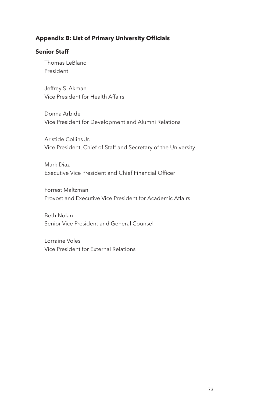## **Appendix B: List of Primary University Officials**

### **Senior Staff**

Thomas LeBlanc President

Jeffrey S. Akman Vice President for Health Affairs

Donna Arbide Vice President for Development and Alumni Relations

Aristide Collins Jr. Vice President, Chief of Staff and Secretary of the University

Mark Diaz Executive Vice President and Chief Financial Officer

Forrest Maltzman Provost and Executive Vice President for Academic Affairs

Beth Nolan Senior Vice President and General Counsel

Lorraine Voles Vice President for External Relations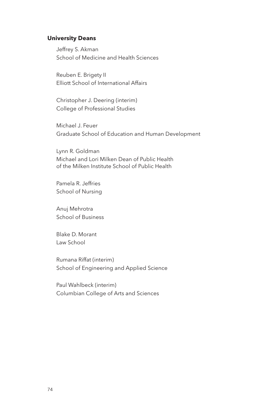#### **University Deans**

Jeffrey S. Akman School of Medicine and Health Sciences

Reuben E. Brigety II Elliott School of International Affairs

Christopher J. Deering (interim) College of Professional Studies

Michael J. Feuer Graduate School of Education and Human Development

Lynn R. Goldman Michael and Lori Milken Dean of Public Health of the Milken Institute School of Public Health

Pamela R. Jeffries School of Nursing

Anuj Mehrotra School of Business

Blake D. Morant Law School

Rumana Riffat (interim) School of Engineering and Applied Science

Paul Wahlbeck (interim) Columbian College of Arts and Sciences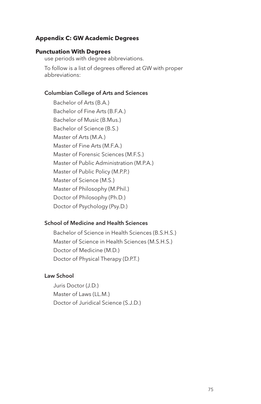#### **Appendix C: GW Academic Degrees**

#### **Punctuation With Degrees**

use periods with degree abbreviations.

To follow is a list of degrees offered at GW with proper abbreviations:

#### Columbian College of Arts and Sciences

Bachelor of Arts (B.A.) Bachelor of Fine Arts (B.F.A.) Bachelor of Music (B.Mus.) Bachelor of Science (B.S.) Master of Arts (M.A.) Master of Fine Arts (M.F.A.) Master of Forensic Sciences (M.F.S.) Master of Public Administration (M.P.A.) Master of Public Policy (M.P.P.) Master of Science (M.S.) Master of Philosophy (M.Phil.) Doctor of Philosophy (Ph.D.) Doctor of Psychology (Psy.D.)

#### School of Medicine and Health Sciences

Bachelor of Science in Health Sciences (B.S.H.S.) Master of Science in Health Sciences (M.S.H.S.) Doctor of Medicine (M.D.) Doctor of Physical Therapy (D.P.T.)

#### Law School

Juris Doctor (J.D.) Master of Laws (LL.M.) Doctor of Juridical Science (S.J.D.)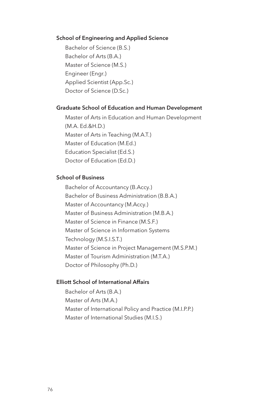#### School of Engineering and Applied Science

Bachelor of Science (B.S.) Bachelor of Arts (B.A.) Master of Science (M.S.) Engineer (Engr.) Applied Scientist (App.Sc.) Doctor of Science (D.Sc.)

#### Graduate School of Education and Human Development

Master of Arts in Education and Human Development (M.A. Ed.&H.D.) Master of Arts in Teaching (M.A.T.) Master of Education (M.Ed.) Education Specialist (Ed.S.) Doctor of Education (Ed.D.)

#### School of Business

Bachelor of Accountancy (B.Accy.) Bachelor of Business Administration (B.B.A.) Master of Accountancy (M.Accy.) Master of Business Administration (M.B.A.) Master of Science in Finance (M.S.F.) Master of Science in Information Systems Technology (M.S.I.S.T.) Master of Science in Project Management (M.S.P.M.) Master of Tourism Administration (M.T.A.) Doctor of Philosophy (Ph.D.)

#### Elliott School of International Affairs

Bachelor of Arts (B.A.) Master of Arts (M.A.) Master of International Policy and Practice (M.I.P.P.) Master of International Studies (M.I.S.)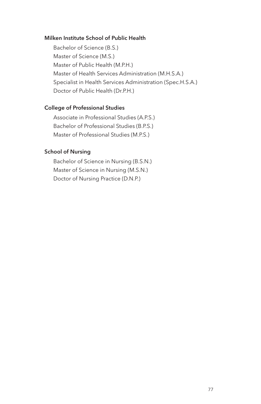#### Milken Institute School of Public Health

Bachelor of Science (B.S.) Master of Science (M.S.) Master of Public Health (M.P.H.) Master of Health Services Administration (M.H.S.A.) Specialist in Health Services Administration (Spec.H.S.A.) Doctor of Public Health (Dr.P.H.)

#### College of Professional Studies

Associate in Professional Studies (A.P.S.) Bachelor of Professional Studies (B.P.S.) Master of Professional Studies (M.P.S.)

## School of Nursing

Bachelor of Science in Nursing (B.S.N.) Master of Science in Nursing (M.S.N.) Doctor of Nursing Practice (D.N.P.)